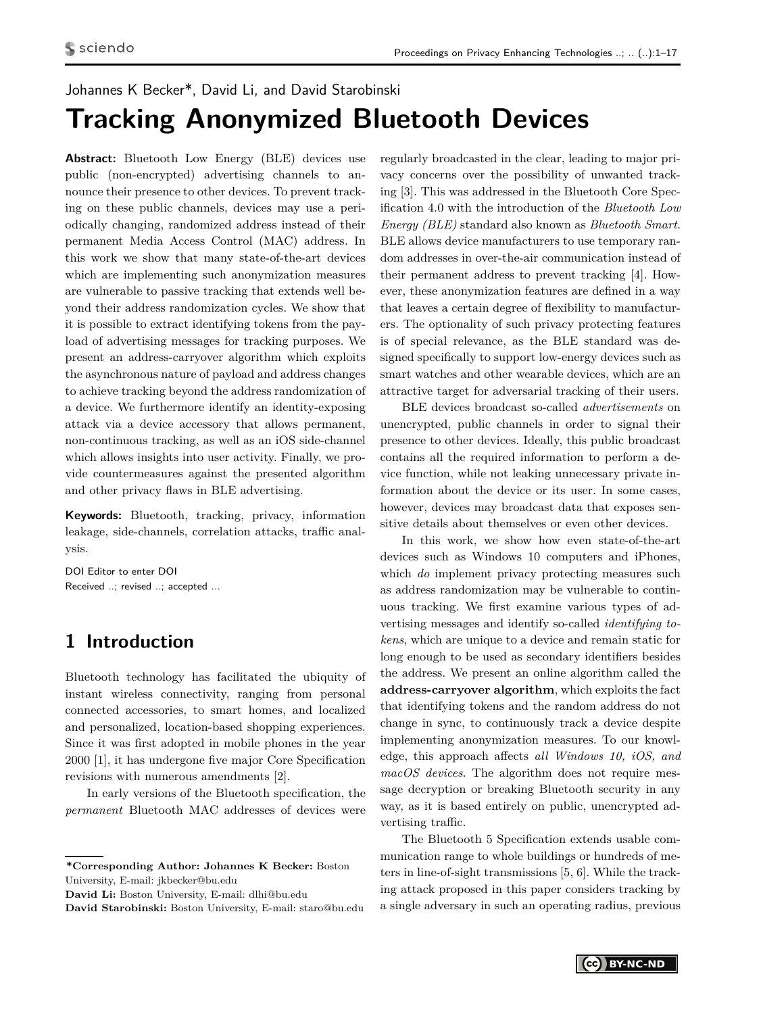# <span id="page-0-0"></span>Johannes K Becker\*, David Li, and David Starobinski **Tracking Anonymized Bluetooth Devices**

Abstract: Bluetooth Low Energy (BLE) devices use public (non-encrypted) advertising channels to announce their presence to other devices. To prevent tracking on these public channels, devices may use a periodically changing, randomized address instead of their permanent Media Access Control (MAC) address. In this work we show that many state-of-the-art devices which are implementing such anonymization measures are vulnerable to passive tracking that extends well beyond their address randomization cycles. We show that it is possible to extract identifying tokens from the payload of advertising messages for tracking purposes. We present an address-carryover algorithm which exploits the asynchronous nature of payload and address changes to achieve tracking beyond the address randomization of a device. We furthermore identify an identity-exposing attack via a device accessory that allows permanent, non-continuous tracking, as well as an iOS side-channel which allows insights into user activity. Finally, we provide countermeasures against the presented algorithm and other privacy flaws in BLE advertising.

**Keywords:** Bluetooth, tracking, privacy, information leakage, side-channels, correlation attacks, traffic analysis.

DOI Editor to enter DOI Received ..; revised ..; accepted ...

## **1 Introduction**

Bluetooth technology has facilitated the ubiquity of instant wireless connectivity, ranging from personal connected accessories, to smart homes, and localized and personalized, location-based shopping experiences. Since it was first adopted in mobile phones in the year 2000 [\[1\]](#page-15-0), it has undergone five major Core Specification revisions with numerous amendments [\[2\]](#page-15-1).

In early versions of the Bluetooth specification, the *permanent* Bluetooth MAC addresses of devices were

**David Li:** Boston University, E-mail: dlhi@bu.edu

**David Starobinski:** Boston University, E-mail: staro@bu.edu

regularly broadcasted in the clear, leading to major privacy concerns over the possibility of unwanted tracking [\[3\]](#page-15-2). This was addressed in the Bluetooth Core Specification 4.0 with the introduction of the *Bluetooth Low Energy (BLE)* standard also known as *Bluetooth Smart*. BLE allows device manufacturers to use temporary random addresses in over-the-air communication instead of their permanent address to prevent tracking [\[4\]](#page-15-3). However, these anonymization features are defined in a way that leaves a certain degree of flexibility to manufacturers. The optionality of such privacy protecting features is of special relevance, as the BLE standard was designed specifically to support low-energy devices such as smart watches and other wearable devices, which are an attractive target for adversarial tracking of their users.

BLE devices broadcast so-called *advertisements* on unencrypted, public channels in order to signal their presence to other devices. Ideally, this public broadcast contains all the required information to perform a device function, while not leaking unnecessary private information about the device or its user. In some cases, however, devices may broadcast data that exposes sensitive details about themselves or even other devices.

In this work, we show how even state-of-the-art devices such as Windows 10 computers and iPhones, which *do* implement privacy protecting measures such as address randomization may be vulnerable to continuous tracking. We first examine various types of advertising messages and identify so-called *identifying tokens*, which are unique to a device and remain static for long enough to be used as secondary identifiers besides the address. We present an online algorithm called the **address-carryover algorithm**, which exploits the fact that identifying tokens and the random address do not change in sync, to continuously track a device despite implementing anonymization measures. To our knowledge, this approach affects *all Windows 10, iOS, and macOS devices*. The algorithm does not require message decryption or breaking Bluetooth security in any way, as it is based entirely on public, unencrypted advertising traffic.

The Bluetooth 5 Specification extends usable communication range to whole buildings or hundreds of meters in line-of-sight transmissions [\[5,](#page-15-4) [6\]](#page-15-5). While the tracking attack proposed in this paper considers tracking by a single adversary in such an operating radius, previous

**<sup>\*</sup>Corresponding Author: Johannes K Becker:** Boston University, E-mail: jkbecker@bu.edu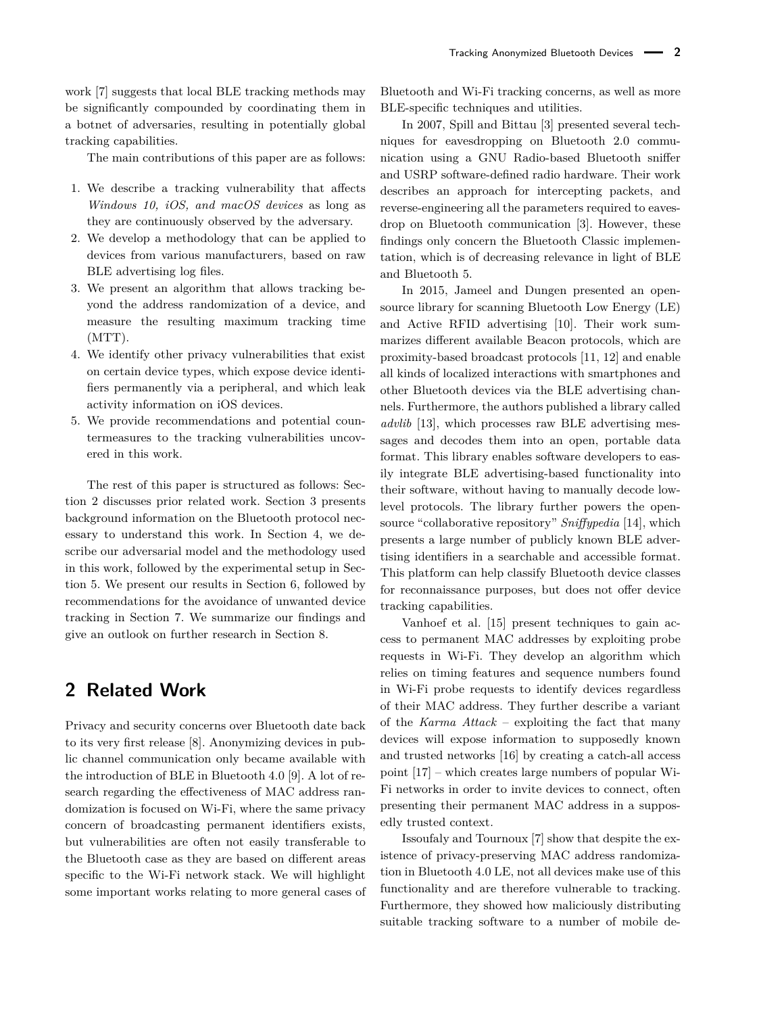work [\[7\]](#page-15-6) suggests that local BLE tracking methods may be significantly compounded by coordinating them in a botnet of adversaries, resulting in potentially global tracking capabilities.

The main contributions of this paper are as follows:

- 1. We describe a tracking vulnerability that affects *Windows 10, iOS, and macOS devices* as long as they are continuously observed by the adversary.
- 2. We develop a methodology that can be applied to devices from various manufacturers, based on raw BLE advertising log files.
- 3. We present an algorithm that allows tracking beyond the address randomization of a device, and measure the resulting maximum tracking time (MTT).
- 4. We identify other privacy vulnerabilities that exist on certain device types, which expose device identifiers permanently via a peripheral, and which leak activity information on iOS devices.
- 5. We provide recommendations and potential countermeasures to the tracking vulnerabilities uncovered in this work.

The rest of this paper is structured as follows: Section [2](#page-1-0) discusses prior related work. Section [3](#page-2-0) presents background information on the Bluetooth protocol necessary to understand this work. In Section [4,](#page-4-0) we describe our adversarial model and the methodology used in this work, followed by the experimental setup in Section [5.](#page-6-0) We present our results in Section [6,](#page-8-0) followed by recommendations for the avoidance of unwanted device tracking in Section [7.](#page-12-0) We summarize our findings and give an outlook on further research in Section [8.](#page-13-0)

## <span id="page-1-0"></span>**2 Related Work**

Privacy and security concerns over Bluetooth date back to its very first release [\[8\]](#page-15-7). Anonymizing devices in public channel communication only became available with the introduction of BLE in Bluetooth 4.0 [\[9\]](#page-15-8). A lot of research regarding the effectiveness of MAC address randomization is focused on Wi-Fi, where the same privacy concern of broadcasting permanent identifiers exists, but vulnerabilities are often not easily transferable to the Bluetooth case as they are based on different areas specific to the Wi-Fi network stack. We will highlight some important works relating to more general cases of Bluetooth and Wi-Fi tracking concerns, as well as more BLE-specific techniques and utilities.

In 2007, Spill and Bittau [\[3\]](#page-15-2) presented several techniques for eavesdropping on Bluetooth 2.0 communication using a GNU Radio-based Bluetooth sniffer and USRP software-defined radio hardware. Their work describes an approach for intercepting packets, and reverse-engineering all the parameters required to eavesdrop on Bluetooth communication [\[3\]](#page-15-2). However, these findings only concern the Bluetooth Classic implementation, which is of decreasing relevance in light of BLE and Bluetooth 5.

In 2015, Jameel and Dungen presented an opensource library for scanning Bluetooth Low Energy (LE) and Active RFID advertising [\[10\]](#page-15-9). Their work summarizes different available Beacon protocols, which are proximity-based broadcast protocols [\[11,](#page-15-10) [12\]](#page-15-11) and enable all kinds of localized interactions with smartphones and other Bluetooth devices via the BLE advertising channels. Furthermore, the authors published a library called *advlib* [\[13\]](#page-15-12), which processes raw BLE advertising messages and decodes them into an open, portable data format. This library enables software developers to easily integrate BLE advertising-based functionality into their software, without having to manually decode lowlevel protocols. The library further powers the opensource "collaborative repository" *Sniffypedia* [\[14\]](#page-15-13), which presents a large number of publicly known BLE advertising identifiers in a searchable and accessible format. This platform can help classify Bluetooth device classes for reconnaissance purposes, but does not offer device tracking capabilities.

Vanhoef et al. [\[15\]](#page-15-14) present techniques to gain access to permanent MAC addresses by exploiting probe requests in Wi-Fi. They develop an algorithm which relies on timing features and sequence numbers found in Wi-Fi probe requests to identify devices regardless of their MAC address. They further describe a variant of the *Karma Attack* – exploiting the fact that many devices will expose information to supposedly known and trusted networks [\[16\]](#page-15-15) by creating a catch-all access point [\[17\]](#page-15-16) – which creates large numbers of popular Wi-Fi networks in order to invite devices to connect, often presenting their permanent MAC address in a supposedly trusted context.

Issoufaly and Tournoux [\[7\]](#page-15-6) show that despite the existence of privacy-preserving MAC address randomization in Bluetooth 4.0 LE, not all devices make use of this functionality and are therefore vulnerable to tracking. Furthermore, they showed how maliciously distributing suitable tracking software to a number of mobile de-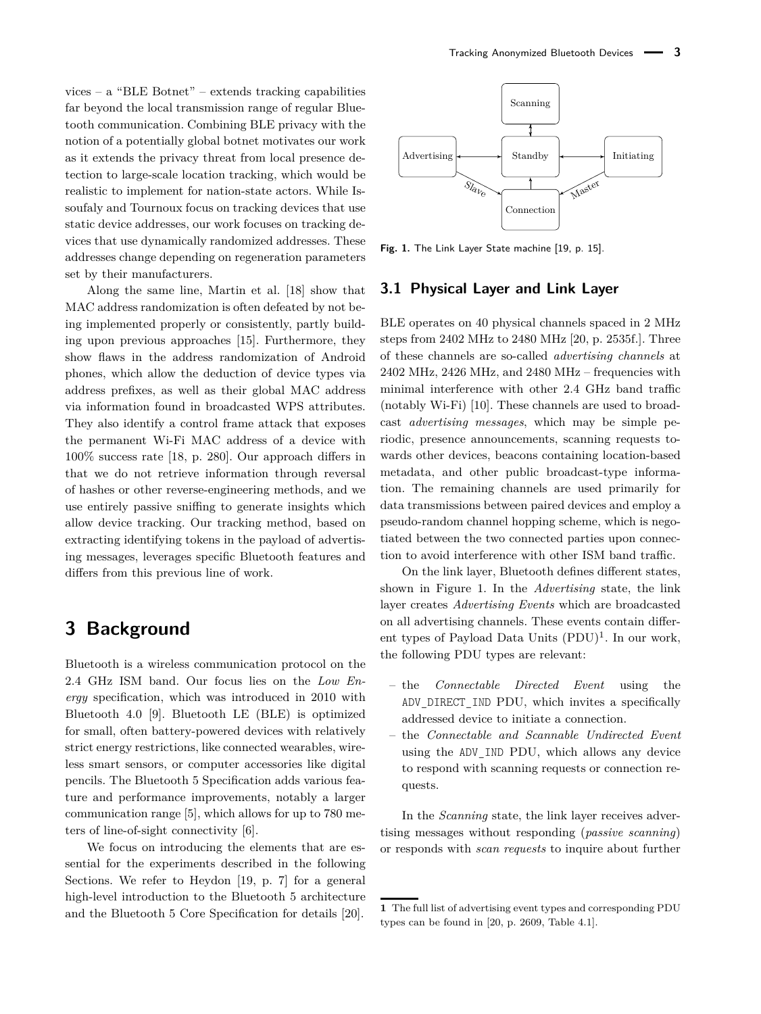vices – a "BLE Botnet" – extends tracking capabilities far beyond the local transmission range of regular Bluetooth communication. Combining BLE privacy with the notion of a potentially global botnet motivates our work as it extends the privacy threat from local presence detection to large-scale location tracking, which would be realistic to implement for nation-state actors. While Issoufaly and Tournoux focus on tracking devices that use static device addresses, our work focuses on tracking devices that use dynamically randomized addresses. These addresses change depending on regeneration parameters set by their manufacturers.

Along the same line, Martin et al. [\[18\]](#page-15-17) show that MAC address randomization is often defeated by not being implemented properly or consistently, partly building upon previous approaches [\[15\]](#page-15-14). Furthermore, they show flaws in the address randomization of Android phones, which allow the deduction of device types via address prefixes, as well as their global MAC address via information found in broadcasted WPS attributes. They also identify a control frame attack that exposes the permanent Wi-Fi MAC address of a device with 100% success rate [\[18,](#page-15-17) p. 280]. Our approach differs in that we do not retrieve information through reversal of hashes or other reverse-engineering methods, and we use entirely passive sniffing to generate insights which allow device tracking. Our tracking method, based on extracting identifying tokens in the payload of advertising messages, leverages specific Bluetooth features and differs from this previous line of work.

## <span id="page-2-0"></span>**3 Background**

Bluetooth is a wireless communication protocol on the 2.4 GHz ISM band. Our focus lies on the *Low Energy* specification, which was introduced in 2010 with Bluetooth 4.0 [\[9\]](#page-15-8). Bluetooth LE (BLE) is optimized for small, often battery-powered devices with relatively strict energy restrictions, like connected wearables, wireless smart sensors, or computer accessories like digital pencils. The Bluetooth 5 Specification adds various feature and performance improvements, notably a larger communication range [\[5\]](#page-15-4), which allows for up to 780 meters of line-of-sight connectivity [\[6\]](#page-15-5).

We focus on introducing the elements that are essential for the experiments described in the following Sections. We refer to Heydon [\[19,](#page-15-18) p. 7] for a general high-level introduction to the Bluetooth 5 architecture and the Bluetooth 5 Core Specification for details [\[20\]](#page-15-19).

<span id="page-2-1"></span>

**Fig. 1.** The Link Layer State machine [\[19,](#page-15-18) p. 15].

#### <span id="page-2-2"></span>**3.1 Physical Layer and Link Layer**

BLE operates on 40 physical channels spaced in 2 MHz steps from 2402 MHz to 2480 MHz [\[20,](#page-15-19) p. 2535f.]. Three of these channels are so-called *advertising channels* at 2402 MHz, 2426 MHz, and 2480 MHz – frequencies with minimal interference with other 2.4 GHz band traffic (notably Wi-Fi) [\[10\]](#page-15-9). These channels are used to broadcast *advertising messages*, which may be simple periodic, presence announcements, scanning requests towards other devices, beacons containing location-based metadata, and other public broadcast-type information. The remaining channels are used primarily for data transmissions between paired devices and employ a pseudo-random channel hopping scheme, which is negotiated between the two connected parties upon connection to avoid interference with other ISM band traffic.

On the link layer, Bluetooth defines different states, shown in Figure [1.](#page-2-1) In the *Advertising* state, the link layer creates *Advertising Events* which are broadcasted on all advertising channels. These events contain different types of Payload Data Units  $(PDU)^1$  $(PDU)^1$ . In our work, the following PDU types are relevant:

- the *Connectable Directed Event* using the ADV DIRECT IND PDU, which invites a specifically addressed device to initiate a connection.
- the *Connectable and Scannable Undirected Event* using the ADV IND PDU, which allows any device to respond with scanning requests or connection requests.

In the *Scanning* state, the link layer receives advertising messages without responding (*passive scanning*) or responds with *scan requests* to inquire about further

**<sup>1</sup>** The full list of advertising event types and corresponding PDU types can be found in [\[20,](#page-15-19) p. 2609, Table 4.1].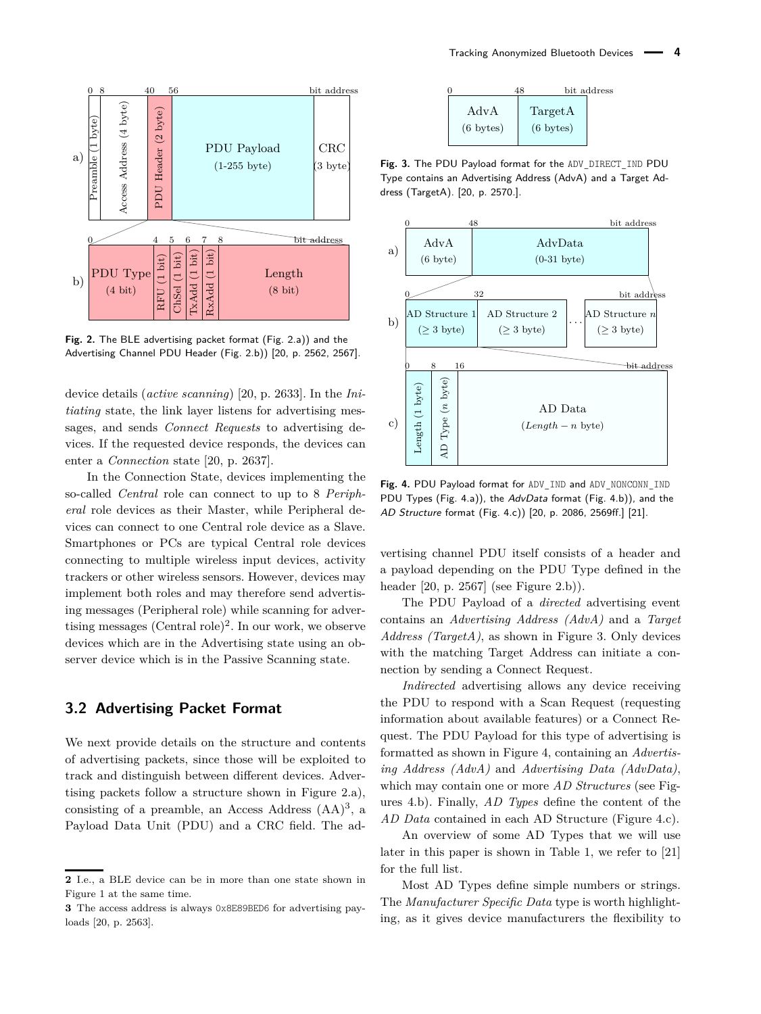<span id="page-3-0"></span>

**Fig. 2.** The BLE advertising packet format (Fig. [2.](#page-3-0)a)) and the Advertising Channel PDU Header (Fig. [2.](#page-3-0)b)) [\[20,](#page-15-19) p. 2562, 2567].

device details (*active scanning*) [\[20,](#page-15-19) p. 2633]. In the *Initiating* state, the link layer listens for advertising messages, and sends *Connect Requests* to advertising devices. If the requested device responds, the devices can enter a *Connection* state [\[20,](#page-15-19) p. 2637].

In the Connection State, devices implementing the so-called *Central* role can connect to up to 8 *Peripheral* role devices as their Master, while Peripheral devices can connect to one Central role device as a Slave. Smartphones or PCs are typical Central role devices connecting to multiple wireless input devices, activity trackers or other wireless sensors. However, devices may implement both roles and may therefore send advertising messages (Peripheral role) while scanning for advertising messages  $(Central role)^2$  $(Central role)^2$ . In our work, we observe devices which are in the Advertising state using an observer device which is in the Passive Scanning state.

### **3.2 Advertising Packet Format**

We next provide details on the structure and contents of advertising packets, since those will be exploited to track and distinguish between different devices. Advertising packets follow a structure shown in Figure [2.](#page-3-0)a), consisting of a preamble, an Access Address  $(AA)^3$  $(AA)^3$ , a Payload Data Unit (PDU) and a CRC field. The ad-

<span id="page-3-2"></span>

|                             |                                | bit address |
|-----------------------------|--------------------------------|-------------|
| AdvA<br>$(6 \text{ bytes})$ | TargetA<br>$(6 \text{ bytes})$ |             |

**Fig. 3.** The PDU Payload format for the ADV\_DIRECT\_IND PDU Type contains an Advertising Address (AdvA) and a Target Address (TargetA). [\[20,](#page-15-19) p. 2570.].

<span id="page-3-1"></span>

Fig. 4. PDU Payload format for ADV\_IND and ADV\_NONCONN\_IND PDU Types (Fig. [4.](#page-3-1)a)), the AdvData format (Fig. 4.b)), and the AD Structure format (Fig. [4.](#page-3-1)c)) [\[20,](#page-15-19) p. 2086, 2569ff.] [\[21\]](#page-15-20).

vertising channel PDU itself consists of a header and a payload depending on the PDU Type defined in the header [\[20,](#page-15-19) p. 2567] (see Figure [2.](#page-3-0)b)).

The PDU Payload of a *directed* advertising event contains an *Advertising Address (AdvA)* and a *Target Address (TargetA)*, as shown in Figure [3.](#page-3-2) Only devices with the matching Target Address can initiate a connection by sending a Connect Request.

*Indirected* advertising allows any device receiving the PDU to respond with a Scan Request (requesting information about available features) or a Connect Request. The PDU Payload for this type of advertising is formatted as shown in Figure [4,](#page-3-1) containing an *Advertising Address (AdvA)* and *Advertising Data (AdvData)*, which may contain one or more *AD Structures* (see Figures [4.](#page-3-1)b). Finally, *AD Types* define the content of the *AD Data* contained in each AD Structure (Figure [4.](#page-3-1)c).

An overview of some AD Types that we will use later in this paper is shown in Table [1,](#page-4-1) we refer to [\[21\]](#page-15-20) for the full list.

Most AD Types define simple numbers or strings. The *Manufacturer Specific Data* type is worth highlighting, as it gives device manufacturers the flexibility to

**<sup>2</sup>** I.e., a BLE device can be in more than one state shown in Figure [1](#page-2-1) at the same time.

**<sup>3</sup>** The access address is always 0x8E89BED6 for advertising payloads [\[20,](#page-15-19) p. 2563].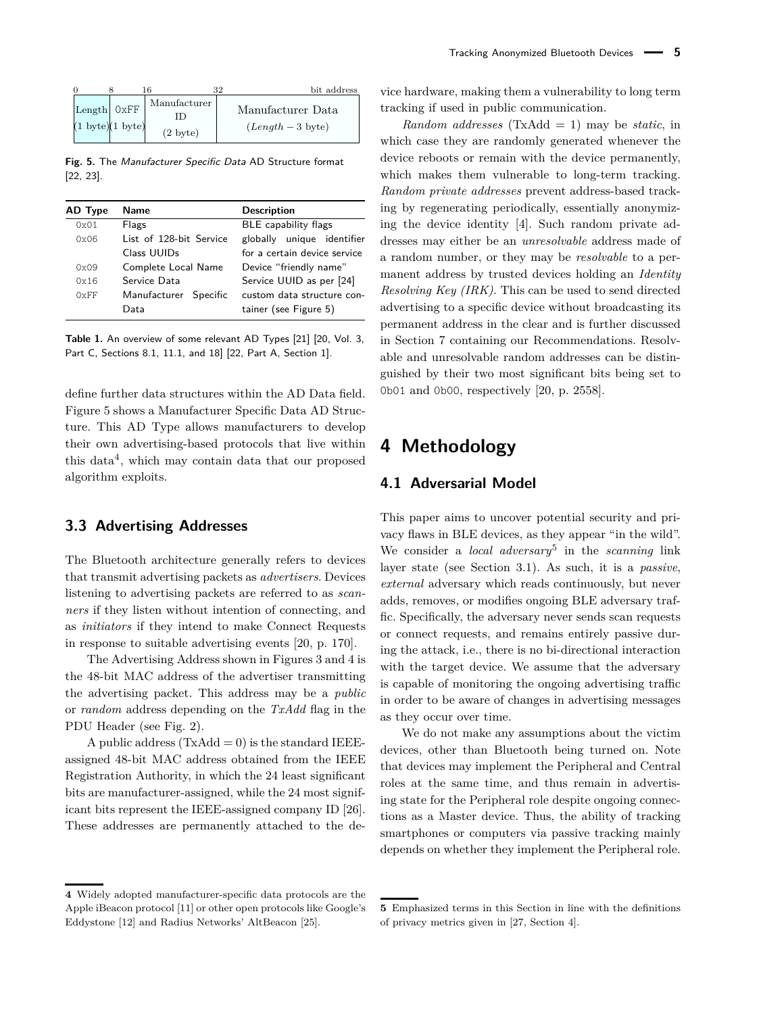<span id="page-4-2"></span>

|                                                      |                                    | າາ                                     | bit address |
|------------------------------------------------------|------------------------------------|----------------------------------------|-------------|
| Length 0xFF<br>$(1 \text{ byte})$ $(1 \text{ byte})$ | Manufacturer<br>$(2 \text{ byte})$ | Manufacturer Data<br>$(Length-3$ byte) |             |

**Fig. 5.** The Manufacturer Specific Data AD Structure format [\[22,](#page-15-21) [23\]](#page-15-22).

<span id="page-4-1"></span>

| AD Type | <b>Name</b>             | <b>Description</b>           |  |  |  |  |
|---------|-------------------------|------------------------------|--|--|--|--|
| 0x01    | Flags                   | BLE capability flags         |  |  |  |  |
| 0x06    | List of 128-bit Service | globally unique identifier   |  |  |  |  |
|         | Class UUIDs             | for a certain device service |  |  |  |  |
| 0x09    | Complete Local Name     | Device "friendly name"       |  |  |  |  |
| 0x16    | Service Data            | Service UUID as per [24]     |  |  |  |  |
| 0xFF    | Manufacturer Specific   | custom data structure con-   |  |  |  |  |
|         | Data                    | tainer (see Figure 5)        |  |  |  |  |

**Table 1.** An overview of some relevant AD Types [\[21\]](#page-15-20) [\[20,](#page-15-19) Vol. 3, Part C, Sections 8.1, 11.1, and 18] [\[22,](#page-15-21) Part A, Section 1].

define further data structures within the AD Data field. Figure [5](#page-4-2) shows a Manufacturer Specific Data AD Structure. This AD Type allows manufacturers to develop their own advertising-based protocols that live within this data<sup>[4](#page-0-0)</sup>, which may contain data that our proposed algorithm exploits.

### <span id="page-4-3"></span>**3.3 Advertising Addresses**

The Bluetooth architecture generally refers to devices that transmit advertising packets as *advertisers*. Devices listening to advertising packets are referred to as *scanners* if they listen without intention of connecting, and as *initiators* if they intend to make Connect Requests in response to suitable advertising events [\[20,](#page-15-19) p. 170].

The Advertising Address shown in Figures [3](#page-3-2) and [4](#page-3-1) is the 48-bit MAC address of the advertiser transmitting the advertising packet. This address may be a *public* or *random* address depending on the *TxAdd* flag in the PDU Header (see Fig. [2\)](#page-3-0).

A public address  $(TxAdd = 0)$  is the standard IEEEassigned 48-bit MAC address obtained from the IEEE Registration Authority, in which the 24 least significant bits are manufacturer-assigned, while the 24 most significant bits represent the IEEE-assigned company ID [\[26\]](#page-15-24). These addresses are permanently attached to the device hardware, making them a vulnerability to long term tracking if used in public communication.

*Random addresses* (TxAdd = 1) may be *static*, in which case they are randomly generated whenever the device reboots or remain with the device permanently, which makes them vulnerable to long-term tracking. *Random private addresses* prevent address-based tracking by regenerating periodically, essentially anonymizing the device identity [\[4\]](#page-15-3). Such random private addresses may either be an *unresolvable* address made of a random number, or they may be *resolvable* to a permanent address by trusted devices holding an *Identity Resolving Key (IRK)*. This can be used to send directed advertising to a specific device without broadcasting its permanent address in the clear and is further discussed in Section [7](#page-12-0) containing our Recommendations. Resolvable and unresolvable random addresses can be distinguished by their two most significant bits being set to 0b01 and 0b00, respectively [\[20,](#page-15-19) p. 2558].

## <span id="page-4-0"></span>**4 Methodology**

### **4.1 Adversarial Model**

This paper aims to uncover potential security and privacy flaws in BLE devices, as they appear "in the wild". We consider a *local adversary*[5](#page-0-0) in the *scanning* link layer state (see Section [3.1\)](#page-2-2). As such, it is a *passive*, *external* adversary which reads continuously, but never adds, removes, or modifies ongoing BLE adversary traffic. Specifically, the adversary never sends scan requests or connect requests, and remains entirely passive during the attack, i.e., there is no bi-directional interaction with the target device. We assume that the adversary is capable of monitoring the ongoing advertising traffic in order to be aware of changes in advertising messages as they occur over time.

We do not make any assumptions about the victim devices, other than Bluetooth being turned on. Note that devices may implement the Peripheral and Central roles at the same time, and thus remain in advertising state for the Peripheral role despite ongoing connections as a Master device. Thus, the ability of tracking smartphones or computers via passive tracking mainly depends on whether they implement the Peripheral role.

**<sup>4</sup>** Widely adopted manufacturer-specific data protocols are the Apple iBeacon protocol [\[11\]](#page-15-10) or other open protocols like Google's Eddystone [\[12\]](#page-15-11) and Radius Networks' AltBeacon [\[25\]](#page-15-25).

**<sup>5</sup>** Emphasized terms in this Section in line with the definitions of privacy metrics given in [\[27,](#page-15-26) Section 4].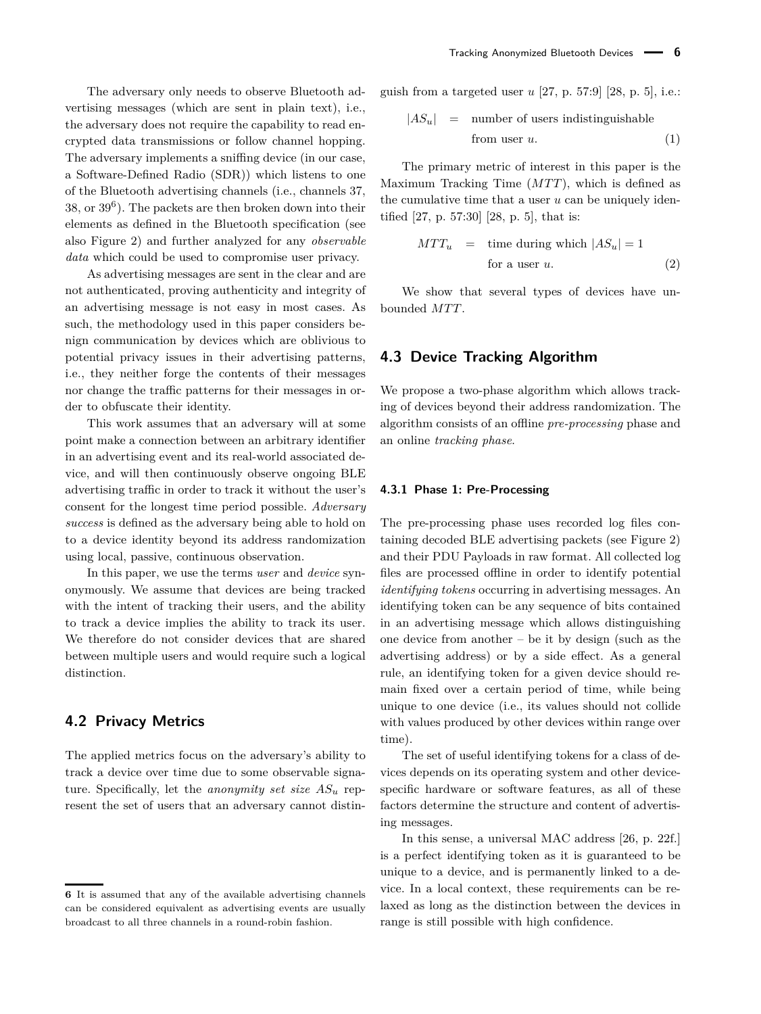The adversary only needs to observe Bluetooth advertising messages (which are sent in plain text), i.e., the adversary does not require the capability to read encrypted data transmissions or follow channel hopping. The adversary implements a sniffing device (in our case, a Software-Defined Radio (SDR)) which listens to one of the Bluetooth advertising channels (i.e., channels 37, 38, or 39[6](#page-0-0) ). The packets are then broken down into their elements as defined in the Bluetooth specification (see also Figure [2\)](#page-3-0) and further analyzed for any *observable data* which could be used to compromise user privacy.

As advertising messages are sent in the clear and are not authenticated, proving authenticity and integrity of an advertising message is not easy in most cases. As such, the methodology used in this paper considers benign communication by devices which are oblivious to potential privacy issues in their advertising patterns, i.e., they neither forge the contents of their messages nor change the traffic patterns for their messages in order to obfuscate their identity.

This work assumes that an adversary will at some point make a connection between an arbitrary identifier in an advertising event and its real-world associated device, and will then continuously observe ongoing BLE advertising traffic in order to track it without the user's consent for the longest time period possible. *Adversary success* is defined as the adversary being able to hold on to a device identity beyond its address randomization using local, passive, continuous observation.

In this paper, we use the terms *user* and *device* synonymously. We assume that devices are being tracked with the intent of tracking their users, and the ability to track a device implies the ability to track its user. We therefore do not consider devices that are shared between multiple users and would require such a logical distinction.

### **4.2 Privacy Metrics**

The applied metrics focus on the adversary's ability to track a device over time due to some observable signature. Specifically, let the *anonymity set size AS<sup>u</sup>* represent the set of users that an adversary cannot distinguish from a targeted user *u* [\[27,](#page-15-26) p. 57:9] [\[28,](#page-15-27) p. 5], i.e.:

$$
|AS_u| =
$$
 number of users indistinguishable  
from user u. (1)

The primary metric of interest in this paper is the Maximum Tracking Time (MTT), which is defined as the cumulative time that a user *u* can be uniquely identified [\[27,](#page-15-26) p. 57:30] [\[28,](#page-15-27) p. 5], that is:

$$
MTT_u = \text{time during which } |AS_u| = 1
$$
  
for a user u. (2)

We show that several types of devices have unbounded  $MTT$ .

#### **4.3 Device Tracking Algorithm**

We propose a two-phase algorithm which allows tracking of devices beyond their address randomization. The algorithm consists of an offline *pre-processing* phase and an online *tracking phase*.

#### <span id="page-5-0"></span>**4.3.1 Phase 1: Pre-Processing**

The pre-processing phase uses recorded log files containing decoded BLE advertising packets (see Figure [2\)](#page-3-0) and their PDU Payloads in raw format. All collected log files are processed offline in order to identify potential *identifying tokens* occurring in advertising messages. An identifying token can be any sequence of bits contained in an advertising message which allows distinguishing one device from another – be it by design (such as the advertising address) or by a side effect. As a general rule, an identifying token for a given device should remain fixed over a certain period of time, while being unique to one device (i.e., its values should not collide with values produced by other devices within range over time).

The set of useful identifying tokens for a class of devices depends on its operating system and other devicespecific hardware or software features, as all of these factors determine the structure and content of advertising messages.

In this sense, a universal MAC address [\[26,](#page-15-24) p. 22f.] is a perfect identifying token as it is guaranteed to be unique to a device, and is permanently linked to a device. In a local context, these requirements can be relaxed as long as the distinction between the devices in range is still possible with high confidence.

**<sup>6</sup>** It is assumed that any of the available advertising channels can be considered equivalent as advertising events are usually broadcast to all three channels in a round-robin fashion.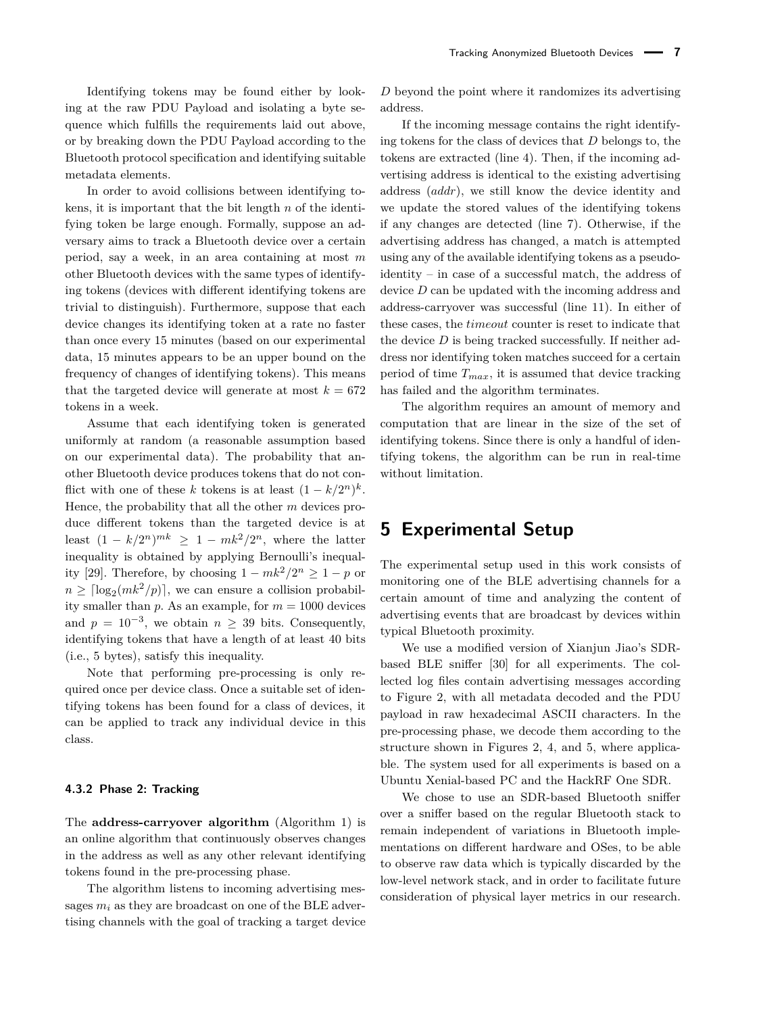Identifying tokens may be found either by looking at the raw PDU Payload and isolating a byte sequence which fulfills the requirements laid out above, or by breaking down the PDU Payload according to the Bluetooth protocol specification and identifying suitable metadata elements.

In order to avoid collisions between identifying tokens, it is important that the bit length *n* of the identifying token be large enough. Formally, suppose an adversary aims to track a Bluetooth device over a certain period, say a week, in an area containing at most *m* other Bluetooth devices with the same types of identifying tokens (devices with different identifying tokens are trivial to distinguish). Furthermore, suppose that each device changes its identifying token at a rate no faster than once every 15 minutes (based on our experimental data, 15 minutes appears to be an upper bound on the frequency of changes of identifying tokens). This means that the targeted device will generate at most  $k = 672$ tokens in a week.

Assume that each identifying token is generated uniformly at random (a reasonable assumption based on our experimental data). The probability that another Bluetooth device produces tokens that do not conflict with one of these *k* tokens is at least  $(1 - k/2^n)^k$ . Hence, the probability that all the other *m* devices produce different tokens than the targeted device is at least  $(1 - k/2^n)^{mk} \geq 1 - mk^2/2^n$ , where the latter inequality is obtained by applying Bernoulli's inequal-ity [\[29\]](#page-15-28). Therefore, by choosing  $1 - mk^2/2^n \geq 1 - p$  or  $n \geq \lceil \log_2(mk^2/p) \rceil$ , we can ensure a collision probability smaller than  $p$ . As an example, for  $m = 1000$  devices and  $p = 10^{-3}$ , we obtain  $n \geq 39$  bits. Consequently, identifying tokens that have a length of at least 40 bits (i.e., 5 bytes), satisfy this inequality.

Note that performing pre-processing is only required once per device class. Once a suitable set of identifying tokens has been found for a class of devices, it can be applied to track any individual device in this class.

#### **4.3.2 Phase 2: Tracking**

The **address-carryover algorithm** (Algorithm [1\)](#page-7-0) is an online algorithm that continuously observes changes in the address as well as any other relevant identifying tokens found in the pre-processing phase.

The algorithm listens to incoming advertising messages  $m_i$  as they are broadcast on one of the BLE advertising channels with the goal of tracking a target device *D* beyond the point where it randomizes its advertising address.

If the incoming message contains the right identifying tokens for the class of devices that *D* belongs to, the tokens are extracted (line [4\)](#page-7-1). Then, if the incoming advertising address is identical to the existing advertising address (*addr*), we still know the device identity and we update the stored values of the identifying tokens if any changes are detected (line [7\)](#page-7-2). Otherwise, if the advertising address has changed, a match is attempted using any of the available identifying tokens as a pseudoidentity – in case of a successful match, the address of device *D* can be updated with the incoming address and address-carryover was successful (line [11\)](#page-7-3). In either of these cases, the *timeout* counter is reset to indicate that the device *D* is being tracked successfully. If neither address nor identifying token matches succeed for a certain period of time *Tmax*, it is assumed that device tracking has failed and the algorithm terminates.

The algorithm requires an amount of memory and computation that are linear in the size of the set of identifying tokens. Since there is only a handful of identifying tokens, the algorithm can be run in real-time without limitation.

## <span id="page-6-0"></span>**5 Experimental Setup**

The experimental setup used in this work consists of monitoring one of the BLE advertising channels for a certain amount of time and analyzing the content of advertising events that are broadcast by devices within typical Bluetooth proximity.

We use a modified version of Xianjun Jiao's SDRbased BLE sniffer [\[30\]](#page-15-29) for all experiments. The collected log files contain advertising messages according to Figure [2,](#page-3-0) with all metadata decoded and the PDU payload in raw hexadecimal ASCII characters. In the pre-processing phase, we decode them according to the structure shown in Figures [2,](#page-3-0) [4,](#page-3-1) and [5,](#page-4-2) where applicable. The system used for all experiments is based on a Ubuntu Xenial-based PC and the HackRF One SDR.

We chose to use an SDR-based Bluetooth sniffer over a sniffer based on the regular Bluetooth stack to remain independent of variations in Bluetooth implementations on different hardware and OSes, to be able to observe raw data which is typically discarded by the low-level network stack, and in order to facilitate future consideration of physical layer metrics in our research.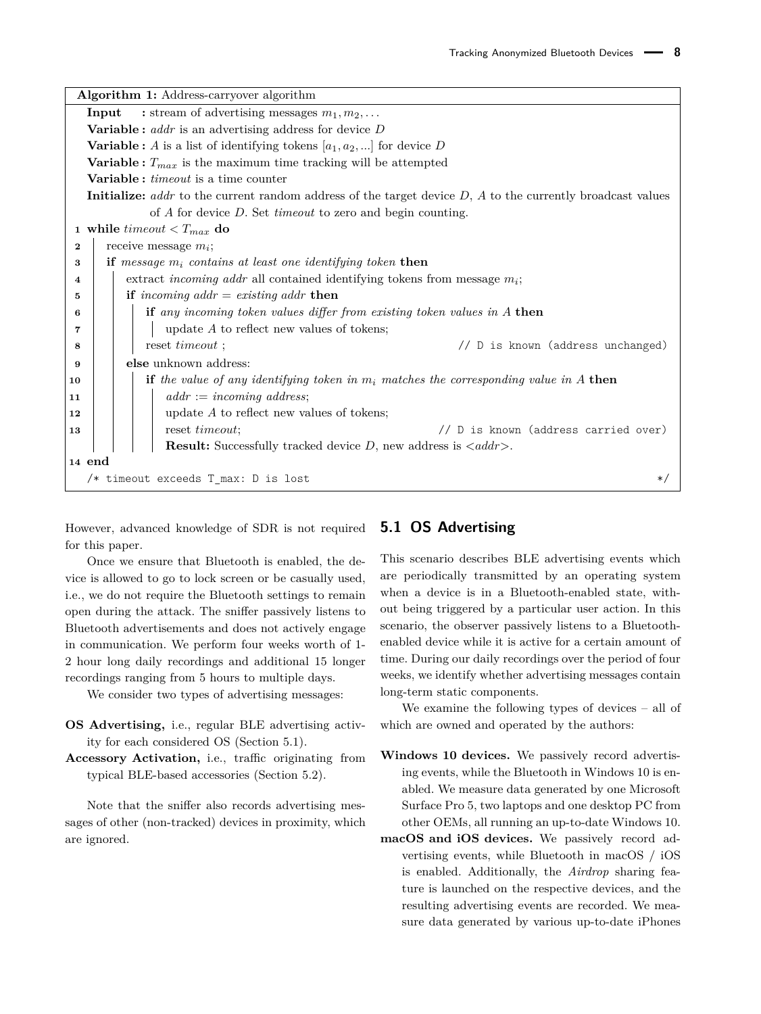<span id="page-7-1"></span>

|          | Algorithm 1: Address-carryover algorithm                                                                        |  |  |  |  |  |  |  |  |
|----------|-----------------------------------------------------------------------------------------------------------------|--|--|--|--|--|--|--|--|
|          | : stream of advertising messages $m_1, m_2, \ldots$<br>Input                                                    |  |  |  |  |  |  |  |  |
|          | <b>Variable:</b> $addr$ is an advertising address for device $D$                                                |  |  |  |  |  |  |  |  |
|          | <b>Variable :</b> A is a list of identifying tokens $[a_1, a_2, \ldots]$ for device D                           |  |  |  |  |  |  |  |  |
|          | Variable: $T_{max}$ is the maximum time tracking will be attempted                                              |  |  |  |  |  |  |  |  |
|          | <b>Variable</b> : <i>timeout</i> is a time counter                                                              |  |  |  |  |  |  |  |  |
|          | Initialize: addr to the current random address of the target device $D$ , $A$ to the currently broadcast values |  |  |  |  |  |  |  |  |
|          | of $A$ for device $D$ . Set <i>timeout</i> to zero and begin counting.                                          |  |  |  |  |  |  |  |  |
|          | 1 while <i>timeout</i> $ do$                                                                                    |  |  |  |  |  |  |  |  |
| $\bf{2}$ | receive message $m_i$ ;                                                                                         |  |  |  |  |  |  |  |  |
| 3        | if message $m_i$ contains at least one identifying token then                                                   |  |  |  |  |  |  |  |  |
| 4        | extract <i>incoming addr</i> all contained identifying tokens from message $m_i$ ;                              |  |  |  |  |  |  |  |  |
| 5        | if incoming $addr = existing \text{ }addr$ then                                                                 |  |  |  |  |  |  |  |  |
| 6        | if any incoming token values differ from existing token values in A then                                        |  |  |  |  |  |  |  |  |
| 7        | update $A$ to reflect new values of tokens;                                                                     |  |  |  |  |  |  |  |  |
| 8        | // D is known (address unchanged)<br>reset <i>timeout</i> ;                                                     |  |  |  |  |  |  |  |  |
| 9        | else unknown address:                                                                                           |  |  |  |  |  |  |  |  |
| 10       | <b>if</b> the value of any identifying token in $m_i$ matches the corresponding value in A then                 |  |  |  |  |  |  |  |  |
| 11       | $addr := incoming address;$                                                                                     |  |  |  |  |  |  |  |  |
| 12       | update $A$ to reflect new values of tokens;                                                                     |  |  |  |  |  |  |  |  |
| 13       | reset <i>timeout</i> ;<br>// D is known (address carried over)                                                  |  |  |  |  |  |  |  |  |
|          | <b>Result:</b> Successfully tracked device $D$ , new address is $\langle addr \rangle$ .                        |  |  |  |  |  |  |  |  |
| 14 end   |                                                                                                                 |  |  |  |  |  |  |  |  |
|          | /* timeout exceeds T_max: D is lost<br>$\ast/$                                                                  |  |  |  |  |  |  |  |  |

<span id="page-7-3"></span><span id="page-7-2"></span><span id="page-7-0"></span>However, advanced knowledge of SDR is not required for this paper.

Once we ensure that Bluetooth is enabled, the device is allowed to go to lock screen or be casually used, i.e., we do not require the Bluetooth settings to remain open during the attack. The sniffer passively listens to Bluetooth advertisements and does not actively engage in communication. We perform four weeks worth of 1- 2 hour long daily recordings and additional 15 longer recordings ranging from 5 hours to multiple days.

We consider two types of advertising messages:

- **OS Advertising,** i.e., regular BLE advertising activity for each considered OS (Section [5.1\)](#page-7-4).
- **Accessory Activation,** i.e., traffic originating from typical BLE-based accessories (Section [5.2\)](#page-8-1).

Note that the sniffer also records advertising messages of other (non-tracked) devices in proximity, which are ignored.

### <span id="page-7-4"></span>**5.1 OS Advertising**

This scenario describes BLE advertising events which are periodically transmitted by an operating system when a device is in a Bluetooth-enabled state, without being triggered by a particular user action. In this scenario, the observer passively listens to a Bluetoothenabled device while it is active for a certain amount of time. During our daily recordings over the period of four weeks, we identify whether advertising messages contain long-term static components.

We examine the following types of devices – all of which are owned and operated by the authors:

- **Windows 10 devices.** We passively record advertising events, while the Bluetooth in Windows 10 is enabled. We measure data generated by one Microsoft Surface Pro 5, two laptops and one desktop PC from other OEMs, all running an up-to-date Windows 10.
- **macOS and iOS devices.** We passively record advertising events, while Bluetooth in macOS / iOS is enabled. Additionally, the *Airdrop* sharing feature is launched on the respective devices, and the resulting advertising events are recorded. We measure data generated by various up-to-date iPhones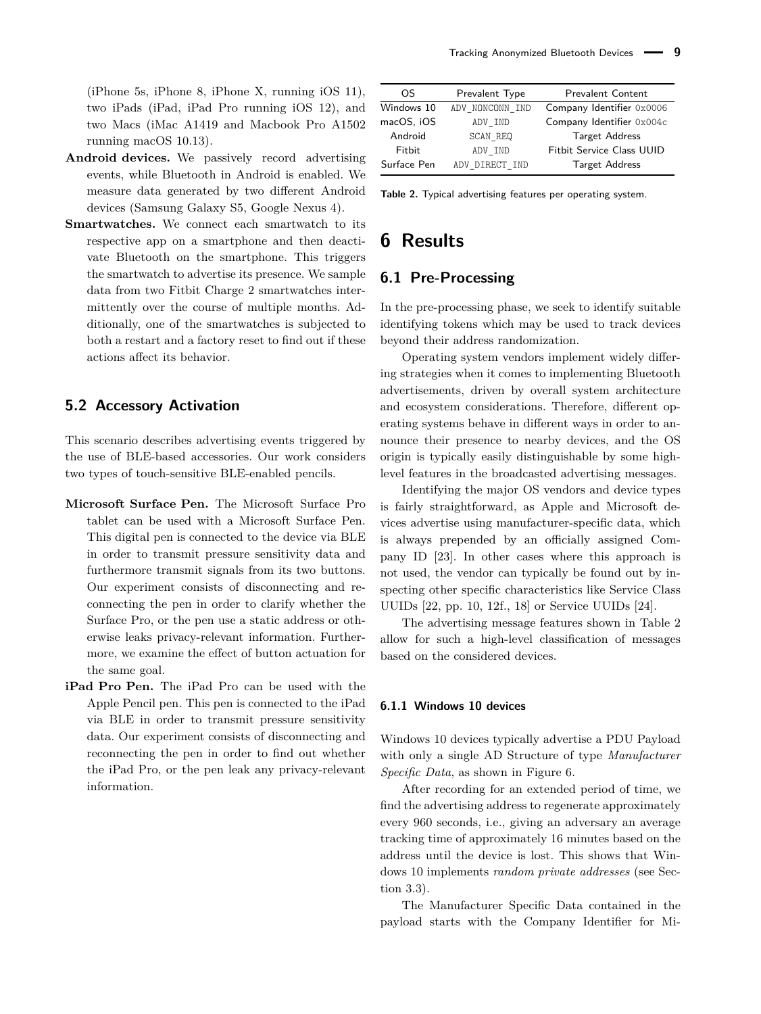(iPhone 5s, iPhone 8, iPhone X, running iOS 11), two iPads (iPad, iPad Pro running iOS 12), and two Macs (iMac A1419 and Macbook Pro A1502 running macOS 10.13).

- **Android devices.** We passively record advertising events, while Bluetooth in Android is enabled. We measure data generated by two different Android devices (Samsung Galaxy S5, Google Nexus 4).
- Smartwatches. We connect each smartwatch to its respective app on a smartphone and then deactivate Bluetooth on the smartphone. This triggers the smartwatch to advertise its presence. We sample data from two Fitbit Charge 2 smartwatches intermittently over the course of multiple months. Additionally, one of the smartwatches is subjected to both a restart and a factory reset to find out if these actions affect its behavior.

### <span id="page-8-1"></span>**5.2 Accessory Activation**

This scenario describes advertising events triggered by the use of BLE-based accessories. Our work considers two types of touch-sensitive BLE-enabled pencils.

- **Microsoft Surface Pen.** The Microsoft Surface Pro tablet can be used with a Microsoft Surface Pen. This digital pen is connected to the device via BLE in order to transmit pressure sensitivity data and furthermore transmit signals from its two buttons. Our experiment consists of disconnecting and reconnecting the pen in order to clarify whether the Surface Pro, or the pen use a static address or otherwise leaks privacy-relevant information. Furthermore, we examine the effect of button actuation for the same goal.
- **iPad Pro Pen.** The iPad Pro can be used with the Apple Pencil pen. This pen is connected to the iPad via BLE in order to transmit pressure sensitivity data. Our experiment consists of disconnecting and reconnecting the pen in order to find out whether the iPad Pro, or the pen leak any privacy-relevant information.

<span id="page-8-2"></span>

| OS          | Prevalent Type  | <b>Prevalent Content</b>  |  |  |
|-------------|-----------------|---------------------------|--|--|
| Windows 10  | ADV NONCONN IND | Company Identifier 0x0006 |  |  |
| macOS, iOS  | ADV IND         | Company Identifier 0x004c |  |  |
| Android     | <b>SCAN REQ</b> | <b>Target Address</b>     |  |  |
| Fitbit      | ADV IND         | Fitbit Service Class UUID |  |  |
| Surface Pen | ADV DIRECT IND  | <b>Target Address</b>     |  |  |

**Table 2.** Typical advertising features per operating system.

## <span id="page-8-0"></span>**6 Results**

### **6.1 Pre-Processing**

In the pre-processing phase, we seek to identify suitable identifying tokens which may be used to track devices beyond their address randomization.

Operating system vendors implement widely differing strategies when it comes to implementing Bluetooth advertisements, driven by overall system architecture and ecosystem considerations. Therefore, different operating systems behave in different ways in order to announce their presence to nearby devices, and the OS origin is typically easily distinguishable by some highlevel features in the broadcasted advertising messages.

Identifying the major OS vendors and device types is fairly straightforward, as Apple and Microsoft devices advertise using manufacturer-specific data, which is always prepended by an officially assigned Company ID [\[23\]](#page-15-22). In other cases where this approach is not used, the vendor can typically be found out by inspecting other specific characteristics like Service Class UUIDs [\[22,](#page-15-21) pp. 10, 12f., 18] or Service UUIDs [\[24\]](#page-15-23).

The advertising message features shown in Table [2](#page-8-2) allow for such a high-level classification of messages based on the considered devices.

#### **6.1.1 Windows 10 devices**

Windows 10 devices typically advertise a PDU Payload with only a single AD Structure of type *Manufacturer Specific Data*, as shown in Figure [6.](#page-9-0)

After recording for an extended period of time, we find the advertising address to regenerate approximately every 960 seconds, i.e., giving an adversary an average tracking time of approximately 16 minutes based on the address until the device is lost. This shows that Windows 10 implements *random private addresses* (see Section [3.3\)](#page-4-3).

The Manufacturer Specific Data contained in the payload starts with the Company Identifier for Mi-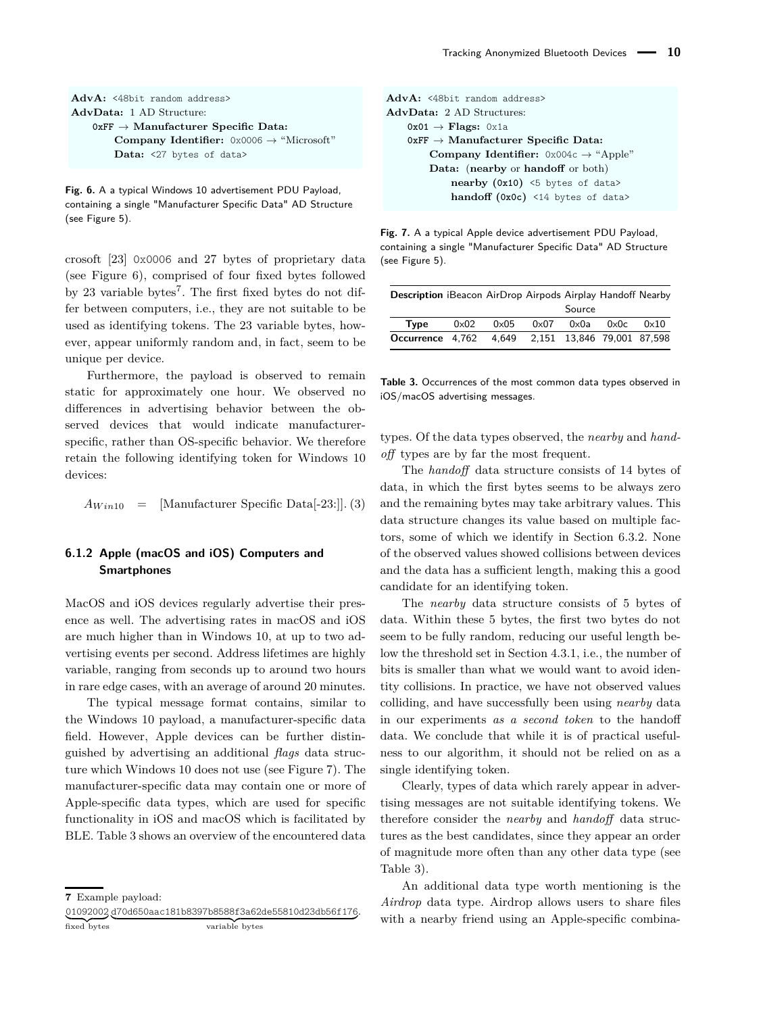#### <span id="page-9-0"></span>**AdvA:** <48bit random address> **AdvData:** 1 AD Structure: **0xFF** → **Manufacturer Specific Data: Company Identifier:** 0x0006 → "Microsoft" **Data:** <27 bytes of data>

**Fig. 6.** A a typical Windows 10 advertisement PDU Payload, containing a single "Manufacturer Specific Data" AD Structure (see Figure [5\)](#page-4-2).

crosoft [\[23\]](#page-15-22) 0x0006 and 27 bytes of proprietary data (see Figure [6\)](#page-9-0), comprised of four fixed bytes followed by 23 variable bytes<sup>[7](#page-0-0)</sup>. The first fixed bytes do not differ between computers, i.e., they are not suitable to be used as identifying tokens. The 23 variable bytes, however, appear uniformly random and, in fact, seem to be unique per device.

Furthermore, the payload is observed to remain static for approximately one hour. We observed no differences in advertising behavior between the observed devices that would indicate manufacturerspecific, rather than OS-specific behavior. We therefore retain the following identifying token for Windows 10 devices:

```
A_{Win10} = [Manufacturer Specific Data<sup>[-23:]</sup>]. (3)
```
### **6.1.2 Apple (macOS and iOS) Computers and Smartphones**

MacOS and iOS devices regularly advertise their presence as well. The advertising rates in macOS and iOS are much higher than in Windows 10, at up to two advertising events per second. Address lifetimes are highly variable, ranging from seconds up to around two hours in rare edge cases, with an average of around 20 minutes.

The typical message format contains, similar to the Windows 10 payload, a manufacturer-specific data field. However, Apple devices can be further distinguished by advertising an additional *flags* data structure which Windows 10 does not use (see Figure [7\)](#page-9-1). The manufacturer-specific data may contain one or more of Apple-specific data types, which are used for specific functionality in iOS and macOS which is facilitated by BLE. Table [3](#page-9-2) shows an overview of the encountered data

01092002 d70d650aac181b8397b8588f3a62de55810d23db56f176 . fixed bytes variable bytes

```
AdvA: <48bit random address>
AdvData: 2 AD Structures:
   0x01 → Flags: 0x1a
   0xFF → Manufacturer Specific Data:
       Company Identifier: 0x004c → "Apple"
       Data: (nearby or handoff or both)
           nearby (0x10) <5 bytes of data>
           handoff (0x0c) <14 bytes of data>
```
**Fig. 7.** A a typical Apple device advertisement PDU Payload, containing a single "Manufacturer Specific Data" AD Structure (see Figure [5\)](#page-4-2).

<span id="page-9-2"></span>

| <b>Description</b> iBeacon AirDrop Airpods Airplay Handoff Nearby |             |              |             |               |                                  |             |
|-------------------------------------------------------------------|-------------|--------------|-------------|---------------|----------------------------------|-------------|
|                                                                   |             |              |             | Source        |                                  |             |
| Tvpe                                                              | $0\times02$ | $0\times 05$ | $0\times07$ | $0 \times 0a$ | $0 \times 0c$                    | $0\times10$ |
| Occurrence 4.762                                                  |             |              |             |               | 4,649 2,151 13,846 79,001 87,598 |             |

**Table 3.** Occurrences of the most common data types observed in iOS/macOS advertising messages.

types. Of the data types observed, the *nearby* and *handoff* types are by far the most frequent.

The *handoff* data structure consists of 14 bytes of data, in which the first bytes seems to be always zero and the remaining bytes may take arbitrary values. This data structure changes its value based on multiple factors, some of which we identify in Section [6.3.2.](#page-12-1) None of the observed values showed collisions between devices and the data has a sufficient length, making this a good candidate for an identifying token.

The *nearby* data structure consists of 5 bytes of data. Within these 5 bytes, the first two bytes do not seem to be fully random, reducing our useful length below the threshold set in Section [4.3.1,](#page-5-0) i.e., the number of bits is smaller than what we would want to avoid identity collisions. In practice, we have not observed values colliding, and have successfully been using *nearby* data in our experiments *as a second token* to the handoff data. We conclude that while it is of practical usefulness to our algorithm, it should not be relied on as a single identifying token.

Clearly, types of data which rarely appear in advertising messages are not suitable identifying tokens. We therefore consider the *nearby* and *handoff* data structures as the best candidates, since they appear an order of magnitude more often than any other data type (see Table [3\)](#page-9-2).

An additional data type worth mentioning is the *Airdrop* data type. Airdrop allows users to share files with a nearby friend using an Apple-specific combina-

**<sup>7</sup>** Example payload: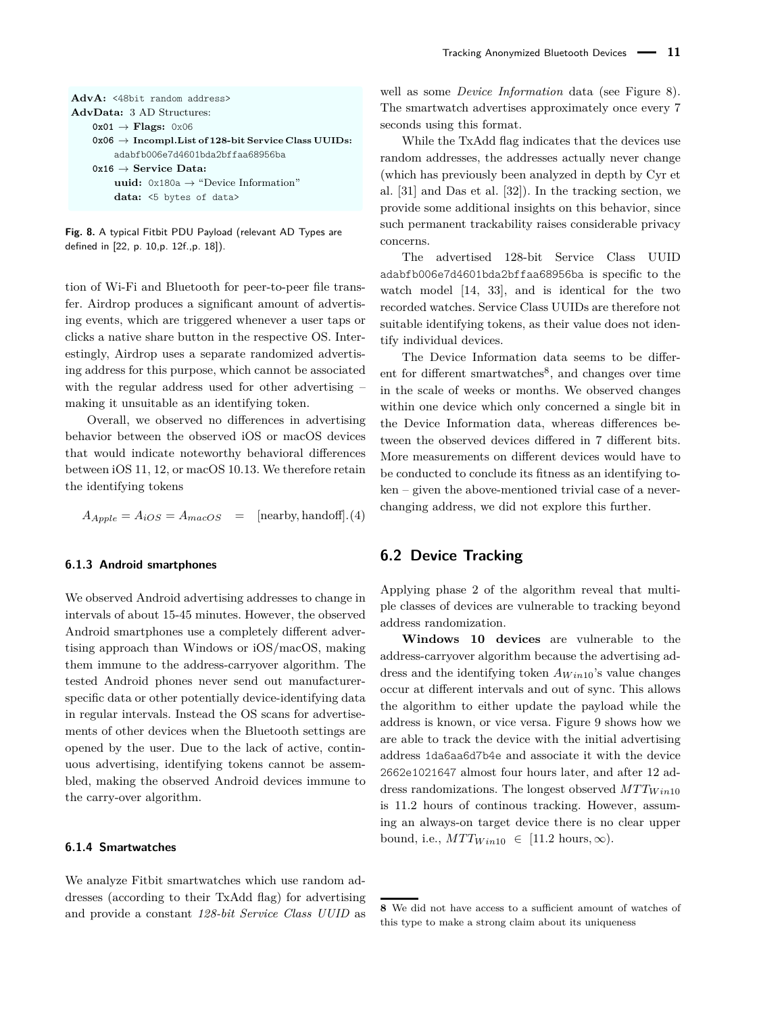#### <span id="page-10-0"></span>AdvA: <48bit random address> **AdvData:** 3 AD Structures: **0x01** → **Flags:** 0x06 **0x06** → **Incompl.List of 128-bit Service Class UUIDs:** adabfb006e7d4601bda2bffaa68956ba **0x16** → **Service Data: uuid:** 0x180a → "Device Information" **data:** <5 bytes of data>

**Fig. 8.** A typical Fitbit PDU Payload (relevant AD Types are defined in [\[22,](#page-15-21) p. 10,p. 12f.,p. 18]).

tion of Wi-Fi and Bluetooth for peer-to-peer file transfer. Airdrop produces a significant amount of advertising events, which are triggered whenever a user taps or clicks a native share button in the respective OS. Interestingly, Airdrop uses a separate randomized advertising address for this purpose, which cannot be associated with the regular address used for other advertising – making it unsuitable as an identifying token.

Overall, we observed no differences in advertising behavior between the observed iOS or macOS devices that would indicate noteworthy behavioral differences between iOS 11, 12, or macOS 10.13. We therefore retain the identifying tokens

$$
A_{Apple} = A_{iOS} = A_{macOS} = [\text{nearby}, \text{handoff}].(4)
$$

#### **6.1.3 Android smartphones**

We observed Android advertising addresses to change in intervals of about 15-45 minutes. However, the observed Android smartphones use a completely different advertising approach than Windows or iOS/macOS, making them immune to the address-carryover algorithm. The tested Android phones never send out manufacturerspecific data or other potentially device-identifying data in regular intervals. Instead the OS scans for advertisements of other devices when the Bluetooth settings are opened by the user. Due to the lack of active, continuous advertising, identifying tokens cannot be assembled, making the observed Android devices immune to the carry-over algorithm.

#### **6.1.4 Smartwatches**

We analyze Fitbit smartwatches which use random addresses (according to their TxAdd flag) for advertising and provide a constant *128-bit Service Class UUID* as well as some *Device Information* data (see Figure [8\)](#page-10-0). The smartwatch advertises approximately once every 7 seconds using this format.

While the TxAdd flag indicates that the devices use random addresses, the addresses actually never change (which has previously been analyzed in depth by Cyr et al. [\[31\]](#page-15-30) and Das et al. [\[32\]](#page-15-31)). In the tracking section, we provide some additional insights on this behavior, since such permanent trackability raises considerable privacy concerns.

The advertised 128-bit Service Class UUID adabfb006e7d4601bda2bffaa68956ba is specific to the watch model [\[14,](#page-15-13) [33\]](#page-16-1), and is identical for the two recorded watches. Service Class UUIDs are therefore not suitable identifying tokens, as their value does not identify individual devices.

The Device Information data seems to be differ-ent for different smartwatches<sup>[8](#page-0-0)</sup>, and changes over time in the scale of weeks or months. We observed changes within one device which only concerned a single bit in the Device Information data, whereas differences between the observed devices differed in 7 different bits. More measurements on different devices would have to be conducted to conclude its fitness as an identifying token – given the above-mentioned trivial case of a neverchanging address, we did not explore this further.

### **6.2 Device Tracking**

Applying phase 2 of the algorithm reveal that multiple classes of devices are vulnerable to tracking beyond address randomization.

**Windows 10 devices** are vulnerable to the address-carryover algorithm because the advertising address and the identifying token  $A_{Win10}$ 's value changes occur at different intervals and out of sync. This allows the algorithm to either update the payload while the address is known, or vice versa. Figure [9](#page-11-0) shows how we are able to track the device with the initial advertising address 1da6aa6d7b4e and associate it with the device 2662e1021647 almost four hours later, and after 12 address randomizations. The longest observed *MT TW in*<sup>10</sup> is 11.2 hours of continous tracking. However, assuming an always-on target device there is no clear upper bound, i.e.,  $MTT_{Win10} \in [11.2 \text{ hours}, \infty)$ .

**<sup>8</sup>** We did not have access to a sufficient amount of watches of this type to make a strong claim about its uniqueness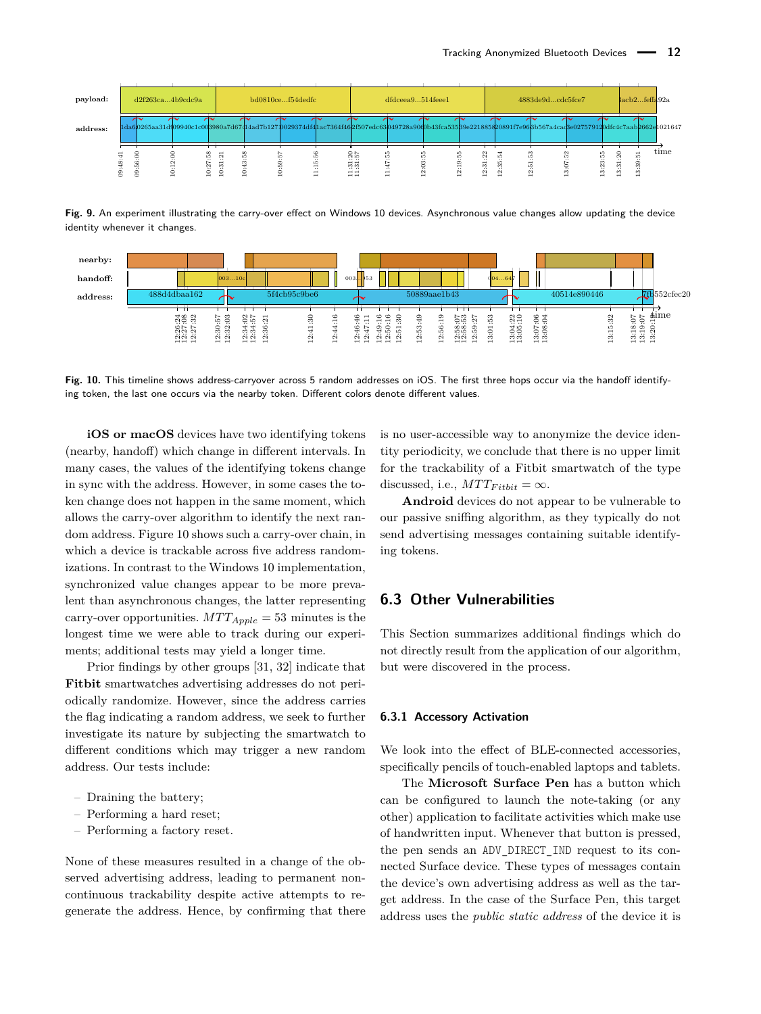<span id="page-11-0"></span>

| payload: |  | d2f263ca4b9cdc9a         |                       |                                                                                                                                                              | bd0810cef54dedfc |                          |                                                                     | dfdceea9514feee1         |                                                                      |                                     | 4883de9dcdc5fce7                                |   |                       | $3acb2$ feffa $92a$ |                  |
|----------|--|--------------------------|-----------------------|--------------------------------------------------------------------------------------------------------------------------------------------------------------|------------------|--------------------------|---------------------------------------------------------------------|--------------------------|----------------------------------------------------------------------|-------------------------------------|-------------------------------------------------|---|-----------------------|---------------------|------------------|
| address: |  |                          |                       | 1da60265aa31d909940c1c003980a7d67414ad7b12710029374df4hac7364f462f507edc63049728a90d0b43fca53589e221885820891f7e968b567a4cad3e027579120dfc4c7aab2662e1021647 |                  |                          |                                                                     |                          |                                                                      |                                     |                                                 |   |                       |                     |                  |
|          |  | $\overline{\phantom{a}}$ | 품<br>ಌ<br>$\sim$<br>÷ |                                                                                                                                                              |                  | $\overline{\phantom{0}}$ | $^{78}_{88}$<br>∺∺<br>. ಜ<br>$\overline{ }$ $\overline{ }$<br>$- -$ | $\overline{\phantom{0}}$ | $\overline{3}$<br>$\mathbf{\Omega}$<br>$\overline{\phantom{a}}$<br>- | H<br>óï<br>$\overline{\phantom{0}}$ | ∞<br>ió<br>۱ņ<br>ói<br>$\overline{\phantom{a}}$ | - | ສ<br>Ń<br>ö<br>⊣<br>- | m<br>-              | $_{\text{time}}$ |

**Fig. 9.** An experiment illustrating the carry-over effect on Windows 10 devices. Asynchronous value changes allow updating the device identity whenever it changes.

<span id="page-11-1"></span>

**Fig. 10.** This timeline shows address-carryover across 5 random addresses on iOS. The first three hops occur via the handoff identifying token, the last one occurs via the nearby token. Different colors denote different values.

**iOS or macOS** devices have two identifying tokens (nearby, handoff) which change in different intervals. In many cases, the values of the identifying tokens change in sync with the address. However, in some cases the token change does not happen in the same moment, which allows the carry-over algorithm to identify the next random address. Figure [10](#page-11-1) shows such a carry-over chain, in which a device is trackable across five address randomizations. In contrast to the Windows 10 implementation, synchronized value changes appear to be more prevalent than asynchronous changes, the latter representing carry-over opportunities.  $MTT_{Apple} = 53$  minutes is the longest time we were able to track during our experiments; additional tests may yield a longer time.

Prior findings by other groups [\[31,](#page-15-30) [32\]](#page-15-31) indicate that **Fitbit** smartwatches advertising addresses do not periodically randomize. However, since the address carries the flag indicating a random address, we seek to further investigate its nature by subjecting the smartwatch to different conditions which may trigger a new random address. Our tests include:

- Draining the battery;
- Performing a hard reset;
- Performing a factory reset.

None of these measures resulted in a change of the observed advertising address, leading to permanent noncontinuous trackability despite active attempts to regenerate the address. Hence, by confirming that there is no user-accessible way to anonymize the device identity periodicity, we conclude that there is no upper limit for the trackability of a Fitbit smartwatch of the type discussed, i.e.,  $MTT_{Fithit} = \infty$ .

**Android** devices do not appear to be vulnerable to our passive sniffing algorithm, as they typically do not send advertising messages containing suitable identifying tokens.

### **6.3 Other Vulnerabilities**

This Section summarizes additional findings which do not directly result from the application of our algorithm, but were discovered in the process.

#### **6.3.1 Accessory Activation**

We look into the effect of BLE-connected accessories, specifically pencils of touch-enabled laptops and tablets.

The **Microsoft Surface Pen** has a button which can be configured to launch the note-taking (or any other) application to facilitate activities which make use of handwritten input. Whenever that button is pressed, the pen sends an ADV\_DIRECT\_IND request to its connected Surface device. These types of messages contain the device's own advertising address as well as the target address. In the case of the Surface Pen, this target address uses the *public static address* of the device it is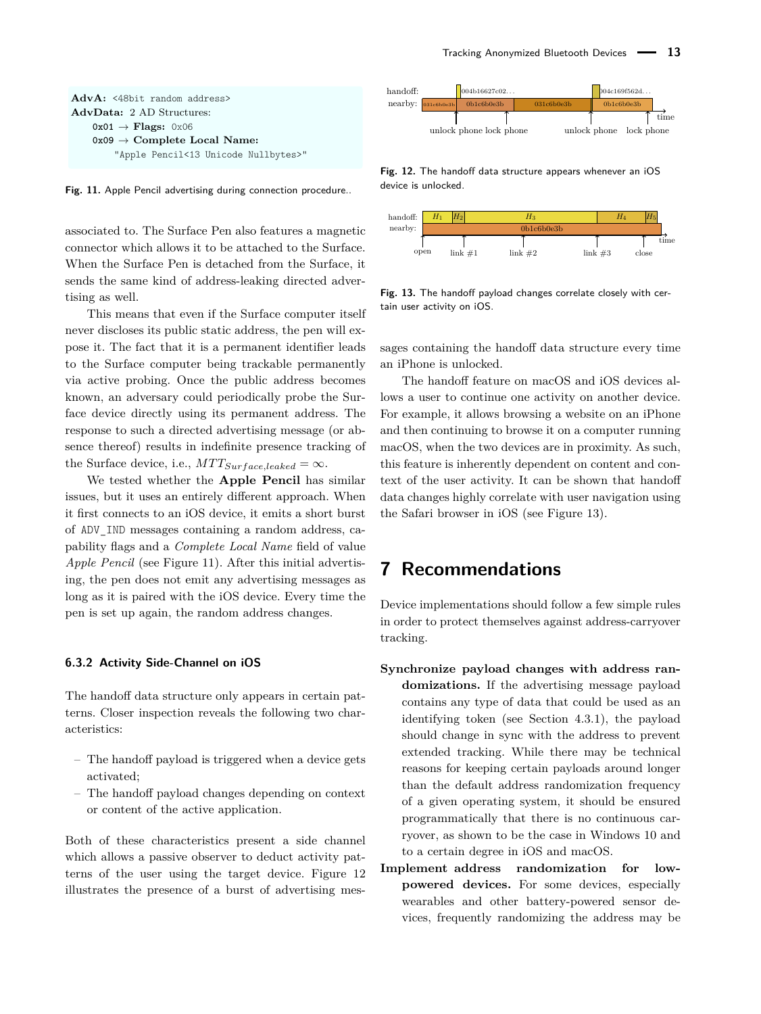<span id="page-12-2"></span>

**Fig. 11.** Apple Pencil advertising during connection procedure..

associated to. The Surface Pen also features a magnetic connector which allows it to be attached to the Surface. When the Surface Pen is detached from the Surface, it sends the same kind of address-leaking directed advertising as well.

This means that even if the Surface computer itself never discloses its public static address, the pen will expose it. The fact that it is a permanent identifier leads to the Surface computer being trackable permanently via active probing. Once the public address becomes known, an adversary could periodically probe the Surface device directly using its permanent address. The response to such a directed advertising message (or absence thereof) results in indefinite presence tracking of the Surface device, i.e.,  $MTT_{Surface, leadsed} = \infty$ .

We tested whether the **Apple Pencil** has similar issues, but it uses an entirely different approach. When it first connects to an iOS device, it emits a short burst of ADV\_IND messages containing a random address, capability flags and a *Complete Local Name* field of value *Apple Pencil* (see Figure [11\)](#page-12-2). After this initial advertising, the pen does not emit any advertising messages as long as it is paired with the iOS device. Every time the pen is set up again, the random address changes.

#### <span id="page-12-1"></span>**6.3.2 Activity Side-Channel on iOS**

The handoff data structure only appears in certain patterns. Closer inspection reveals the following two characteristics:

- The handoff payload is triggered when a device gets activated;
- The handoff payload changes depending on context or content of the active application.

Both of these characteristics present a side channel which allows a passive observer to deduct activity patterns of the user using the target device. Figure [12](#page-12-3) illustrates the presence of a burst of advertising mes-

<span id="page-12-3"></span>

**Fig. 12.** The handoff data structure appears whenever an iOS device is unlocked.

<span id="page-12-4"></span>

**Fig. 13.** The handoff payload changes correlate closely with certain user activity on iOS.

sages containing the handoff data structure every time an iPhone is unlocked.

The handoff feature on macOS and iOS devices allows a user to continue one activity on another device. For example, it allows browsing a website on an iPhone and then continuing to browse it on a computer running macOS, when the two devices are in proximity. As such, this feature is inherently dependent on content and context of the user activity. It can be shown that handoff data changes highly correlate with user navigation using the Safari browser in iOS (see Figure [13\)](#page-12-4).

## <span id="page-12-0"></span>**7 Recommendations**

Device implementations should follow a few simple rules in order to protect themselves against address-carryover tracking.

- **Synchronize payload changes with address randomizations.** If the advertising message payload contains any type of data that could be used as an identifying token (see Section [4.3.1\)](#page-5-0), the payload should change in sync with the address to prevent extended tracking. While there may be technical reasons for keeping certain payloads around longer than the default address randomization frequency of a given operating system, it should be ensured programmatically that there is no continuous carryover, as shown to be the case in Windows 10 and to a certain degree in iOS and macOS.
- **Implement address randomization for lowpowered devices.** For some devices, especially wearables and other battery-powered sensor devices, frequently randomizing the address may be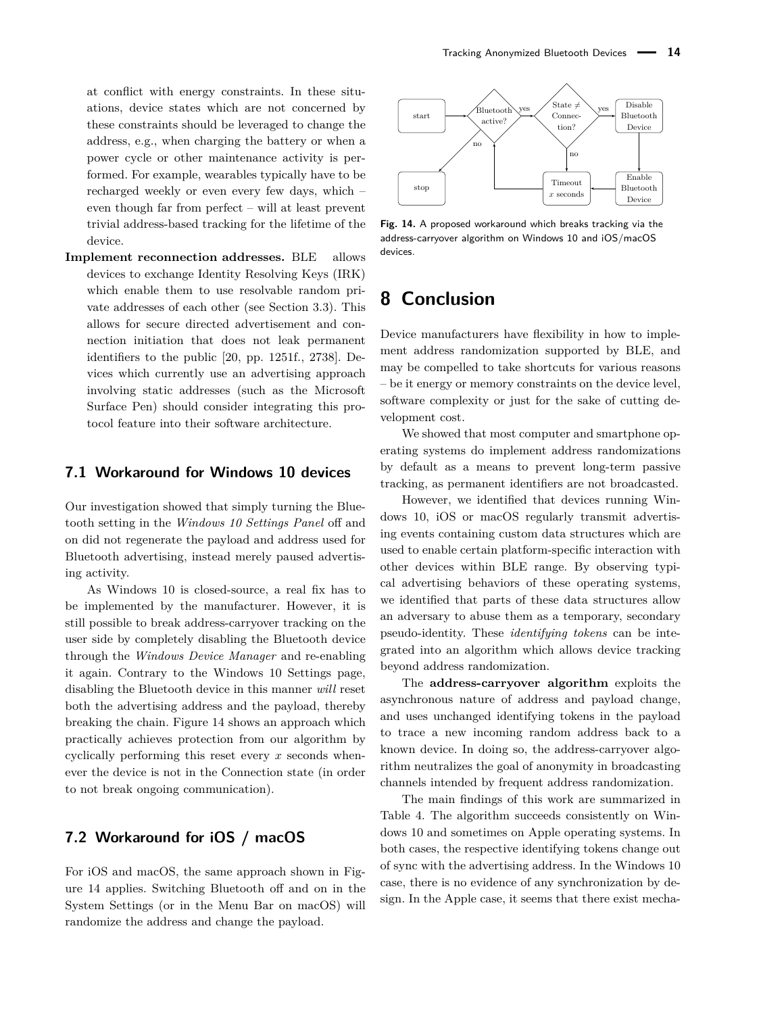at conflict with energy constraints. In these situations, device states which are not concerned by these constraints should be leveraged to change the address, e.g., when charging the battery or when a power cycle or other maintenance activity is performed. For example, wearables typically have to be recharged weekly or even every few days, which – even though far from perfect – will at least prevent trivial address-based tracking for the lifetime of the device.

**Implement reconnection addresses.** BLE allows devices to exchange Identity Resolving Keys (IRK) which enable them to use resolvable random private addresses of each other (see Section [3.3\)](#page-4-3). This allows for secure directed advertisement and connection initiation that does not leak permanent identifiers to the public [\[20,](#page-15-19) pp. 1251f., 2738]. Devices which currently use an advertising approach involving static addresses (such as the Microsoft Surface Pen) should consider integrating this protocol feature into their software architecture.

#### **7.1 Workaround for Windows 10 devices**

Our investigation showed that simply turning the Bluetooth setting in the *Windows 10 Settings Panel* off and on did not regenerate the payload and address used for Bluetooth advertising, instead merely paused advertising activity.

As Windows 10 is closed-source, a real fix has to be implemented by the manufacturer. However, it is still possible to break address-carryover tracking on the user side by completely disabling the Bluetooth device through the *Windows Device Manager* and re-enabling it again. Contrary to the Windows 10 Settings page, disabling the Bluetooth device in this manner *will* reset both the advertising address and the payload, thereby breaking the chain. Figure [14](#page-13-1) shows an approach which practically achieves protection from our algorithm by cyclically performing this reset every *x* seconds whenever the device is not in the Connection state (in order to not break ongoing communication).

### **7.2 Workaround for iOS / macOS**

For iOS and macOS, the same approach shown in Figure [14](#page-13-1) applies. Switching Bluetooth off and on in the System Settings (or in the Menu Bar on macOS) will randomize the address and change the payload.

<span id="page-13-1"></span>

**Fig. 14.** A proposed workaround which breaks tracking via the address-carryover algorithm on Windows 10 and iOS/macOS devices.

## <span id="page-13-0"></span>**8 Conclusion**

Device manufacturers have flexibility in how to implement address randomization supported by BLE, and may be compelled to take shortcuts for various reasons – be it energy or memory constraints on the device level, software complexity or just for the sake of cutting development cost.

We showed that most computer and smartphone operating systems do implement address randomizations by default as a means to prevent long-term passive tracking, as permanent identifiers are not broadcasted.

However, we identified that devices running Windows 10, iOS or macOS regularly transmit advertising events containing custom data structures which are used to enable certain platform-specific interaction with other devices within BLE range. By observing typical advertising behaviors of these operating systems, we identified that parts of these data structures allow an adversary to abuse them as a temporary, secondary pseudo-identity. These *identifying tokens* can be integrated into an algorithm which allows device tracking beyond address randomization.

The **address-carryover algorithm** exploits the asynchronous nature of address and payload change, and uses unchanged identifying tokens in the payload to trace a new incoming random address back to a known device. In doing so, the address-carryover algorithm neutralizes the goal of anonymity in broadcasting channels intended by frequent address randomization.

The main findings of this work are summarized in Table [4.](#page-14-0) The algorithm succeeds consistently on Windows 10 and sometimes on Apple operating systems. In both cases, the respective identifying tokens change out of sync with the advertising address. In the Windows 10 case, there is no evidence of any synchronization by design. In the Apple case, it seems that there exist mecha-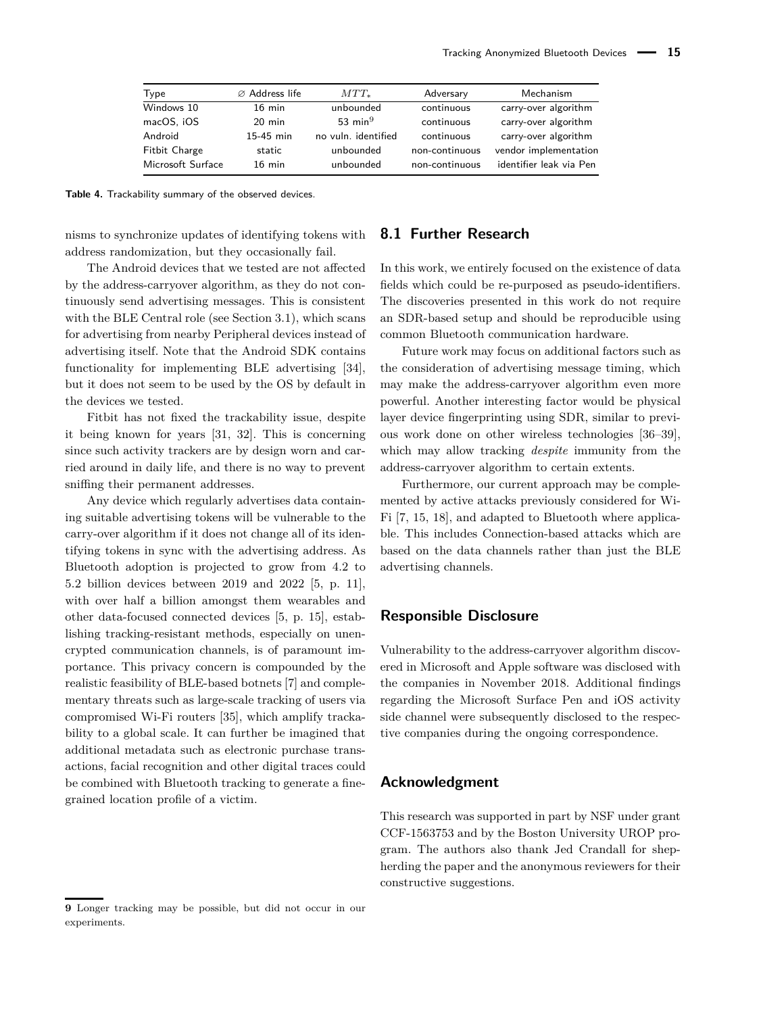<span id="page-14-0"></span>

| Type                 | $\varnothing$ Address life | $MTT_{*}$           | Adversary      | Mechanism               |
|----------------------|----------------------------|---------------------|----------------|-------------------------|
| Windows 10           | $16$ min                   | unbounded           | continuous     | carry-over algorithm    |
| macOS, iOS           | $20$ min                   | 53 min $9$          | continuous     | carry-over algorithm    |
| Android              | 15-45 min                  | no vuln. identified | continuous     | carry-over algorithm    |
| <b>Fitbit Charge</b> | static                     | unbounded           | non-continuous | vendor implementation   |
| Microsoft Surface    | $16$ min                   | unbounded           | non-continuous | identifier leak via Pen |

**Table 4.** Trackability summary of the observed devices.

nisms to synchronize updates of identifying tokens with address randomization, but they occasionally fail.

The Android devices that we tested are not affected by the address-carryover algorithm, as they do not continuously send advertising messages. This is consistent with the BLE Central role (see Section [3.1\)](#page-2-2), which scans for advertising from nearby Peripheral devices instead of advertising itself. Note that the Android SDK contains functionality for implementing BLE advertising [\[34\]](#page-16-2), but it does not seem to be used by the OS by default in the devices we tested.

Fitbit has not fixed the trackability issue, despite it being known for years [\[31,](#page-15-30) [32\]](#page-15-31). This is concerning since such activity trackers are by design worn and carried around in daily life, and there is no way to prevent sniffing their permanent addresses.

Any device which regularly advertises data containing suitable advertising tokens will be vulnerable to the carry-over algorithm if it does not change all of its identifying tokens in sync with the advertising address. As Bluetooth adoption is projected to grow from 4.2 to 5.2 billion devices between 2019 and 2022 [\[5,](#page-15-4) p. 11], with over half a billion amongst them wearables and other data-focused connected devices [\[5,](#page-15-4) p. 15], establishing tracking-resistant methods, especially on unencrypted communication channels, is of paramount importance. This privacy concern is compounded by the realistic feasibility of BLE-based botnets [\[7\]](#page-15-6) and complementary threats such as large-scale tracking of users via compromised Wi-Fi routers [\[35\]](#page-16-3), which amplify trackability to a global scale. It can further be imagined that additional metadata such as electronic purchase transactions, facial recognition and other digital traces could be combined with Bluetooth tracking to generate a finegrained location profile of a victim.

#### **9** Longer tracking may be possible, but did not occur in our experiments.

### **8.1 Further Research**

In this work, we entirely focused on the existence of data fields which could be re-purposed as pseudo-identifiers. The discoveries presented in this work do not require an SDR-based setup and should be reproducible using common Bluetooth communication hardware.

Future work may focus on additional factors such as the consideration of advertising message timing, which may make the address-carryover algorithm even more powerful. Another interesting factor would be physical layer device fingerprinting using SDR, similar to previous work done on other wireless technologies [\[36–](#page-16-4)[39\]](#page-16-5), which may allow tracking *despite* immunity from the address-carryover algorithm to certain extents.

Furthermore, our current approach may be complemented by active attacks previously considered for Wi-Fi [\[7,](#page-15-6) [15,](#page-15-14) [18\]](#page-15-17), and adapted to Bluetooth where applicable. This includes Connection-based attacks which are based on the data channels rather than just the BLE advertising channels.

### **Responsible Disclosure**

Vulnerability to the address-carryover algorithm discovered in Microsoft and Apple software was disclosed with the companies in November 2018. Additional findings regarding the Microsoft Surface Pen and iOS activity side channel were subsequently disclosed to the respective companies during the ongoing correspondence.

### **Acknowledgment**

This research was supported in part by NSF under grant CCF-1563753 and by the Boston University UROP program. The authors also thank Jed Crandall for shepherding the paper and the anonymous reviewers for their constructive suggestions.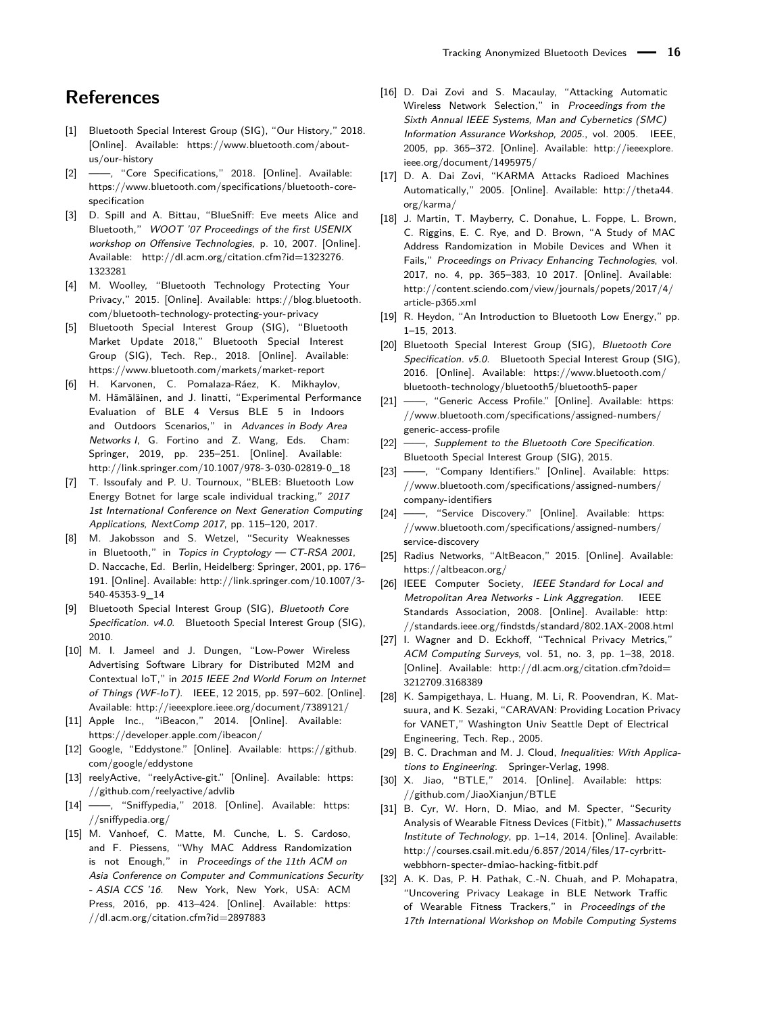## **References**

- <span id="page-15-0"></span>[1] Bluetooth Special Interest Group (SIG), "Our History," 2018. [Online]. Available: [https://www.bluetooth.com/about](https://www.bluetooth.com/about-us/our-history)[us/our-history](https://www.bluetooth.com/about-us/our-history)
- <span id="page-15-1"></span>[2] —, "Core Specifications," 2018. [Online]. Available: [https://www.bluetooth.com/specifications/bluetooth-core](https://www.bluetooth.com/specifications/bluetooth-core-specification)[specification](https://www.bluetooth.com/specifications/bluetooth-core-specification)
- <span id="page-15-2"></span>[3] D. Spill and A. Bittau, "BlueSniff: Eve meets Alice and Bluetooth," WOOT '07 Proceedings of the first USENIX workshop on Offensive Technologies, p. 10, 2007. [Online]. Available: [http://dl.acm.org/citation.cfm?id=1323276.](http://dl.acm.org/citation.cfm?id=1323276.1323281) [1323281](http://dl.acm.org/citation.cfm?id=1323276.1323281)
- <span id="page-15-3"></span>[4] M. Woolley, "Bluetooth Technology Protecting Your Privacy," 2015. [Online]. Available: [https://blog.bluetooth.](https://blog.bluetooth.com/bluetooth-technology-protecting-your-privacy) [com/bluetooth-technology-protecting-your-privacy](https://blog.bluetooth.com/bluetooth-technology-protecting-your-privacy)
- <span id="page-15-4"></span>[5] Bluetooth Special Interest Group (SIG), "Bluetooth Market Update 2018," Bluetooth Special Interest Group (SIG), Tech. Rep., 2018. [Online]. Available: <https://www.bluetooth.com/markets/market-report>
- <span id="page-15-5"></span>[6] H. Karvonen, C. Pomalaza-Ráez, K. Mikhaylov, M. Hämäläinen, and J. Iinatti, "Experimental Performance Evaluation of BLE 4 Versus BLE 5 in Indoors and Outdoors Scenarios," in Advances in Body Area Networks I, G. Fortino and Z. Wang, Eds. Cham: Springer, 2019, pp. 235–251. [Online]. Available: [http://link.springer.com/10.1007/978-3-030-02819-0\\_18](http://link.springer.com/10.1007/978-3-030-02819-0_18)
- <span id="page-15-6"></span>[7] T. Issoufaly and P. U. Tournoux, "BLEB: Bluetooth Low Energy Botnet for large scale individual tracking," 2017 1st International Conference on Next Generation Computing Applications, NextComp 2017, pp. 115–120, 2017.
- <span id="page-15-7"></span>[8] M. Jakobsson and S. Wetzel, "Security Weaknesses in Bluetooth," in Topics in Cryptology - CT-RSA 2001, D. Naccache, Ed. Berlin, Heidelberg: Springer, 2001, pp. 176– 191. [Online]. Available: [http://link.springer.com/10.1007/3-](http://link.springer.com/10.1007/3-540-45353-9_14) [540-45353-9\\_14](http://link.springer.com/10.1007/3-540-45353-9_14)
- <span id="page-15-8"></span>[9] Bluetooth Special Interest Group (SIG), Bluetooth Core Specification. v4.0. Bluetooth Special Interest Group (SIG), 2010.
- <span id="page-15-9"></span>[10] M. I. Jameel and J. Dungen, "Low-Power Wireless Advertising Software Library for Distributed M2M and Contextual IoT," in 2015 IEEE 2nd World Forum on Internet of Things (WF-IoT). IEEE, 12 2015, pp. 597–602. [Online]. Available:<http://ieeexplore.ieee.org/document/7389121/>
- <span id="page-15-10"></span>[11] Apple Inc., "iBeacon," 2014. [Online]. Available: <https://developer.apple.com/ibeacon/>
- <span id="page-15-11"></span>[12] Google, "Eddystone." [Online]. Available: [https://github.](https://github.com/google/eddystone) [com/google/eddystone](https://github.com/google/eddystone)
- <span id="page-15-12"></span>[13] reelyActive, "reelyActive-git." [Online]. Available: [https:](https://github.com/reelyactive/advlib) [//github.com/reelyactive/advlib](https://github.com/reelyactive/advlib)
- <span id="page-15-13"></span>[14] - fime, "Sniffypedia," 2018. [Online]. Available: [https:](https://sniffypedia.org/) [//sniffypedia.org/](https://sniffypedia.org/)
- <span id="page-15-14"></span>[15] M. Vanhoef, C. Matte, M. Cunche, L. S. Cardoso, and F. Piessens, "Why MAC Address Randomization is not Enough," in Proceedings of the 11th ACM on Asia Conference on Computer and Communications Security - ASIA CCS '16. New York, New York, USA: ACM Press, 2016, pp. 413-424. [Online]. Available: [https:](https://dl.acm.org/citation.cfm?id=2897883) [//dl.acm.org/citation.cfm?id=2897883](https://dl.acm.org/citation.cfm?id=2897883)
- <span id="page-15-15"></span>[16] D. Dai Zovi and S. Macaulay, "Attacking Automatic Wireless Network Selection," in Proceedings from the Sixth Annual IEEE Systems, Man and Cybernetics (SMC) Information Assurance Workshop, 2005., vol. 2005. IEEE, 2005, pp. 365–372. [Online]. Available: [http://ieeexplore.](http://ieeexplore.ieee.org/document/1495975/) [ieee.org/document/1495975/](http://ieeexplore.ieee.org/document/1495975/)
- <span id="page-15-16"></span>[17] D. A. Dai Zovi, "KARMA Attacks Radioed Machines Automatically," 2005. [Online]. Available: [http://theta44.](http://theta44.org/karma/) [org/karma/](http://theta44.org/karma/)
- <span id="page-15-17"></span>[18] J. Martin, T. Mayberry, C. Donahue, L. Foppe, L. Brown, C. Riggins, E. C. Rye, and D. Brown, "A Study of MAC Address Randomization in Mobile Devices and When it Fails," Proceedings on Privacy Enhancing Technologies, vol. 2017, no. 4, pp. 365–383, 10 2017. [Online]. Available: [http://content.sciendo.com/view/journals/popets/2017/4/](http://content.sciendo.com/view/journals/popets/2017/4/article-p365.xml) [article-p365.xml](http://content.sciendo.com/view/journals/popets/2017/4/article-p365.xml)
- <span id="page-15-18"></span>[19] R. Heydon, "An Introduction to Bluetooth Low Energy," pp. 1–15, 2013.
- <span id="page-15-19"></span>[20] Bluetooth Special Interest Group (SIG), Bluetooth Core Specification. v5.0. Bluetooth Special Interest Group (SIG), 2016. [Online]. Available: [https://www.bluetooth.com/](https://www.bluetooth.com/bluetooth-technology/bluetooth5/bluetooth5-paper) [bluetooth-technology/bluetooth5/bluetooth5-paper](https://www.bluetooth.com/bluetooth-technology/bluetooth5/bluetooth5-paper)
- <span id="page-15-20"></span>[21] -, "Generic Access Profile." [Online]. Available: [https:](https://www.bluetooth.com/specifications/assigned-numbers/generic-access-profile) [//www.bluetooth.com/specifications/assigned-numbers/](https://www.bluetooth.com/specifications/assigned-numbers/generic-access-profile) [generic-access-profile](https://www.bluetooth.com/specifications/assigned-numbers/generic-access-profile)
- <span id="page-15-21"></span>[22] -, Supplement to the Bluetooth Core Specification. Bluetooth Special Interest Group (SIG), 2015.
- <span id="page-15-22"></span>[23] -, "Company Identifiers." [Online]. Available: [https:](https://www.bluetooth.com/specifications/assigned-numbers/company-identifiers) [//www.bluetooth.com/specifications/assigned-numbers/](https://www.bluetooth.com/specifications/assigned-numbers/company-identifiers) [company-identifiers](https://www.bluetooth.com/specifications/assigned-numbers/company-identifiers)
- <span id="page-15-23"></span>[24] ——, "Service Discovery." [Online]. Available: [https:](https://www.bluetooth.com/specifications/assigned-numbers/service-discovery) [//www.bluetooth.com/specifications/assigned-numbers/](https://www.bluetooth.com/specifications/assigned-numbers/service-discovery) [service-discovery](https://www.bluetooth.com/specifications/assigned-numbers/service-discovery)
- <span id="page-15-25"></span>[25] Radius Networks, "AltBeacon," 2015. [Online]. Available: <https://altbeacon.org/>
- <span id="page-15-24"></span>[26] IEEE Computer Society, IEEE Standard for Local and Metropolitan Area Networks - Link Aggregation. IEEE Standards Association, 2008. [Online]. Available: [http:](http://standards.ieee.org/findstds/standard/802.1AX-2008.html) [//standards.ieee.org/findstds/standard/802.1AX-2008.html](http://standards.ieee.org/findstds/standard/802.1AX-2008.html)
- <span id="page-15-26"></span>[27] I. Wagner and D. Eckhoff, "Technical Privacy Metrics," ACM Computing Surveys, vol. 51, no. 3, pp. 1–38, 2018. [Online]. Available: [http://dl.acm.org/citation.cfm?doid=](http://dl.acm.org/citation.cfm?doid=3212709.3168389) [3212709.3168389](http://dl.acm.org/citation.cfm?doid=3212709.3168389)
- <span id="page-15-27"></span>[28] K. Sampigethaya, L. Huang, M. Li, R. Poovendran, K. Matsuura, and K. Sezaki, "CARAVAN: Providing Location Privacy for VANET," Washington Univ Seattle Dept of Electrical Engineering, Tech. Rep., 2005.
- <span id="page-15-28"></span>[29] B. C. Drachman and M. J. Cloud, Inequalities: With Applications to Engineering. Springer-Verlag, 1998.
- <span id="page-15-29"></span>[30] X. Jiao, "BTLE," 2014. [Online]. Available: [https:](https://github.com/JiaoXianjun/BTLE) [//github.com/JiaoXianjun/BTLE](https://github.com/JiaoXianjun/BTLE)
- <span id="page-15-30"></span>[31] B. Cyr, W. Horn, D. Miao, and M. Specter, "Security Analysis of Wearable Fitness Devices (Fitbit)," Massachusetts Institute of Technology, pp. 1–14, 2014. [Online]. Available: [http://courses.csail.mit.edu/6.857/2014/files/17-cyrbritt](http://courses.csail.mit.edu/6.857/2014/files/17-cyrbritt-webbhorn-specter-dmiao-hacking-fitbit.pdf)[webbhorn-specter-dmiao-hacking-fitbit.pdf](http://courses.csail.mit.edu/6.857/2014/files/17-cyrbritt-webbhorn-specter-dmiao-hacking-fitbit.pdf)
- <span id="page-15-31"></span>[32] A. K. Das, P. H. Pathak, C.-N. Chuah, and P. Mohapatra, "Uncovering Privacy Leakage in BLE Network Traffic of Wearable Fitness Trackers," in Proceedings of the 17th International Workshop on Mobile Computing Systems